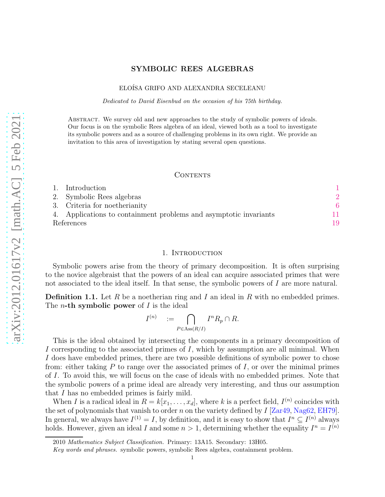# SYMBOLIC REES ALGEBRAS

# ELOÍSA GRIFO AND ALEXANDRA SECELEANU

Dedicated to David Eisenbud on the occasion of his 75th birthday.

Abstract. We survey old and new approaches to the study of symbolic powers of ideals. Our focus is on the symbolic Rees algebra of an ideal, viewed both as a tool to investigate its symbolic powers and as a source of challenging problems in its own right. We provide an invitation to this area of investigation by stating several open questions.

#### CONTENTS

| Introduction                                                      |    |
|-------------------------------------------------------------------|----|
| 2. Symbolic Rees algebras                                         |    |
| 3. Criteria for noetherianity                                     |    |
| 4. Applications to containment problems and asymptotic invariants | 11 |
| References                                                        | 19 |

# 1. INTRODUCTION

<span id="page-0-0"></span>Symbolic powers arise from the theory of primary decomposition. It is often surprising to the novice algebraist that the powers of an ideal can acquire associated primes that were not associated to the ideal itself. In that sense, the symbolic powers of I are more natural.

<span id="page-0-1"></span>**Definition 1.1.** Let R be a noetherian ring and I an ideal in R with no embedded primes. The *n*-th symbolic power of  $I$  is the ideal

$$
I^{(n)} = \bigcap_{P \in \text{Ass}(R/I)} I^n R_p \cap R.
$$

This is the ideal obtained by intersecting the components in a primary decomposition of I corresponding to the associated primes of I, which by assumption are all minimal. When I does have embedded primes, there are two possible definitions of symbolic power to chose from: either taking  $P$  to range over the associated primes of  $I$ , or over the minimal primes of I. To avoid this, we will focus on the case of ideals with no embedded primes. Note that the symbolic powers of a prime ideal are already very interesting, and thus our assumption that I has no embedded primes is fairly mild.

When I is a radical ideal in  $R = k[x_1, \ldots, x_d]$ , where k is a perfect field,  $I^{(n)}$  coincides with the set of polynomials that vanish to order n on the variety defined by  $I$  [\[Zar49,](#page-22-0) [Nag62,](#page-21-0) [EH79\]](#page-19-0). In general, we always have  $I^{(1)} = I$ , by definition, and it is easy to show that  $I^n \subseteq I^{(n)}$  always holds. However, given an ideal I and some  $n > 1$ , determining whether the equality  $I^n = I^{(n)}$ 

<sup>2010</sup> Mathematics Subject Classification. Primary: 13A15. Secondary: 13H05.

Key words and phrases. symbolic powers, symbolic Rees algebra, containment problem.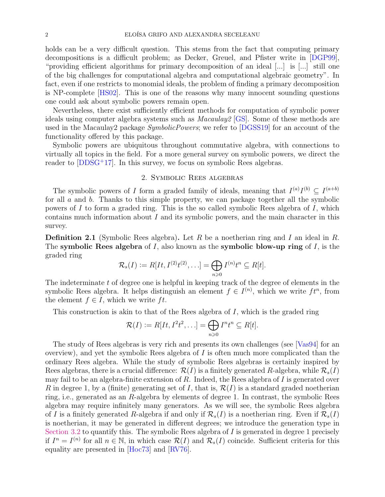holds can be a very difficult question. This stems from the fact that computing primary decompositions is a difficult problem; as Decker, Greuel, and Pfister write in [\[DGP99\]](#page-19-1), "providing efficient algorithms for primary decomposition of an ideal [...] is [...] still one of the big challenges for computational algebra and computational algebraic geometry". In fact, even if one restricts to monomial ideals, the problem of finding a primary decomposition is NP-complete [\[HS02\]](#page-20-0). This is one of the reasons why many innocent sounding questions one could ask about symbolic powers remain open.

Nevertheless, there exist sufficiently efficient methods for computation of symbolic power ideals using computer algebra systems such as Macaulay2 [\[GS\]](#page-20-1). Some of these methods are used in the Macaulay package *SymbolicPowers*; we refer to [\[DGSS19\]](#page-19-2) for an account of the functionality offered by this package.

Symbolic powers are ubiquitous throughout commutative algebra, with connections to virtually all topics in the field. For a more general survey on symbolic powers, we direct the reader to  $[DDSG^+17]$ . In this survey, we focus on symbolic Rees algebras.

# 2. Symbolic Rees algebras

<span id="page-1-0"></span>The symbolic powers of I form a graded family of ideals, meaning that  $I^{(a)}I^{(b)} \subseteq I^{(a+b)}$ for all  $a$  and  $b$ . Thanks to this simple property, we can package together all the symbolic powers of I to form a graded ring. This is the so called symbolic Rees algebra of I, which contains much information about I and its symbolic powers, and the main character in this survey.

**Definition 2.1** (Symbolic Rees algebra). Let R be a noetherian ring and I an ideal in R. The symbolic Rees algebra of I, also known as the symbolic blow-up ring of I, is the graded ring

$$
\mathcal{R}_s(I) := R[It, I^{(2)}t^{(2)}, \ldots] = \bigoplus_{n \geqslant 0} I^{(n)}t^n \subseteq R[t].
$$

The indeterminate  $t$  of degree one is helpful in keeping track of the degree of elements in the symbolic Rees algebra. It helps distinguish an element  $f \in I^{(n)}$ , which we write  $ft^n$ , from the element  $f \in I$ , which we write ft.

This construction is akin to that of the Rees algebra of  $I$ , which is the graded ring

$$
\mathcal{R}(I) := R[It, I^2t^2, \ldots] = \bigoplus_{n \geq 0} I^n t^n \subseteq R[t].
$$

The study of Rees algebras is very rich and presents its own challenges (see [\[Vas94\]](#page-22-1) for an overview), and yet the symbolic Rees algebra of  $I$  is often much more complicated than the ordinary Rees algebra. While the study of symbolic Rees algebras is certainly inspired by Rees algebras, there is a crucial difference:  $\mathcal{R}(I)$  is a finitely generated R-algebra, while  $\mathcal{R}_s(I)$ may fail to be an algebra-finite extension of  $R$ . Indeed, the Rees algebra of  $I$  is generated over R in degree 1, by a (finite) generating set of I, that is,  $\mathcal{R}(I)$  is a standard graded noetherian ring, i.e., generated as an R-algebra by elements of degree 1. In contrast, the symbolic Rees algebra may require infinitely many generators. As we will see, the symbolic Rees algebra of I is a finitely generated R-algebra if and only if  $\mathcal{R}_s(I)$  is a noetherian ring. Even if  $\mathcal{R}_s(I)$ is noetherian, it may be generated in different degrees; we introduce the generation type in [Section 3.2](#page-8-0) to quantify this. The symbolic Rees algebra of I is generated in degree 1 precisely if  $I^n = I^{(n)}$  for all  $n \in \mathbb{N}$ , in which case  $\mathcal{R}(I)$  and  $\mathcal{R}_s(I)$  coincide. Sufficient criteria for this equality are presented in [\[Hoc73\]](#page-20-2) and [\[RV76\]](#page-22-2).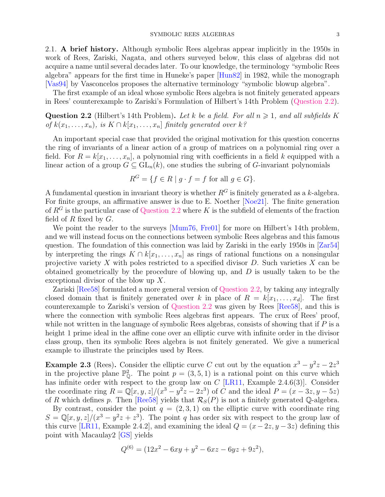2.1. A brief history. Although symbolic Rees algebras appear implicitly in the 1950s in work of Rees, Zariski, Nagata, and others surveyed below, this class of algebras did not acquire a name until several decades later. To our knowledge, the terminology "symbolic Rees algebra" appears for the first time in Huneke's paper [\[Hun82\]](#page-21-1) in 1982, while the monograph [\[Vas94\]](#page-22-1) by Vasconcelos proposes the alternative terminology "symbolic blowup algebra".

<span id="page-2-0"></span>The first example of an ideal whose symbolic Rees algebra is not finitely generated appears in Rees' counterexample to Zariski's Formulation of Hilbert's 14th Problem [\(Question 2.2\)](#page-2-0).

**Question 2.2** (Hilbert's 14th Problem). Let k be a field. For all  $n \ge 1$ , and all subfields K of  $k(x_1, \ldots, x_n)$ , is  $K \cap k[x_1, \ldots, x_n]$  finitely generated over  $k$ ?

An important special case that provided the original motivation for this question concerns the ring of invariants of a linear action of a group of matrices on a polynomial ring over a field. For  $R = k[x_1, \ldots, x_n]$ , a polynomial ring with coefficients in a field k equipped with a linear action of a group  $G \subseteq GL_n(k)$ , one studies the subring of G-invariant polynomials

$$
R^G = \{ f \in R \mid g \cdot f = f \text{ for all } g \in G \}.
$$

A fundamental question in invariant theory is whether  $R<sup>G</sup>$  is finitely generated as a k-algebra. For finite groups, an affirmative answer is due to E. Noether [\[Noe21\]](#page-22-3). The finite generation of  $R^G$  is the particular case of [Question 2.2](#page-2-0) where K is the subfield of elements of the fraction field of  $R$  fixed by  $G$ .

We point the reader to the surveys [\[Mum76,](#page-21-2) [Fre01\]](#page-19-4) for more on Hilbert's 14th problem, and we will instead focus on the connections between symbolic Rees algebras and this famous question. The foundation of this connection was laid by Zariski in the early 1950s in [\[Zar54\]](#page-22-4) by interpreting the rings  $K \cap k[x_1, \ldots, x_n]$  as rings of rational functions on a nonsingular projective variety X with poles restricted to a specified divisor  $D$ . Such varieties X can be obtained geometrically by the procedure of blowing up, and  $D$  is usually taken to be the exceptional divisor of the blow up X.

Zariski [\[Ree58\]](#page-22-5) formulated a more general version of [Question 2.2,](#page-2-0) by taking any integrally closed domain that is finitely generated over k in place of  $R = k[x_1, \ldots, x_d]$ . The first counterexample to Zariski's version of [Question 2.2](#page-2-0) was given by Rees [\[Ree58\]](#page-22-5), and this is where the connection with symbolic Rees algebras first appears. The crux of Rees' proof, while not written in the language of symbolic Rees algebras, consists of showing that if  $P$  is a height 1 prime ideal in the affine cone over an elliptic curve with infinite order in the divisor class group, then its symbolic Rees algebra is not finitely generated. We give a numerical example to illustrate the principles used by Rees.

**Example 2.3** (Rees). Consider the elliptic curve C cut out by the equation  $x^3 - y^2z - 2z^3$ in the projective plane  $\mathbb{P}_{\mathbb{Q}}^2$ . The point  $p = (3, 5, 1)$  is a rational point on this curve which has infinite order with respect to the group law on  $C$  [\[LR11,](#page-21-3) Example 2.4.6(3)]. Consider the coordinate ring  $R = \mathbb{Q}[x, y, z]/(x^3 - y^2z - 2z^3)$  of C and the ideal  $P = (x - 3z, y - 5z)$ of R which defines p. Then [\[Ree58\]](#page-22-5) yields that  $\mathcal{R}_S(P)$  is not a finitely generated Q-algebra.

By contrast, consider the point  $q = (2, 3, 1)$  on the elliptic curve with coordinate ring  $S = \mathbb{Q}[x, y, z]/(x^3 - y^2z + z^3)$ . The point q has order six with respect to the group law of this curve [\[LR11,](#page-21-3) Example 2.4.2], and examining the ideal  $Q = (x - 2z, y - 3z)$  defining this point with Macaulay2 [\[GS\]](#page-20-1) yields

$$
Q^{(6)} = (12x^2 - 6xy + y^2 - 6xz - 6yz + 9z^2),
$$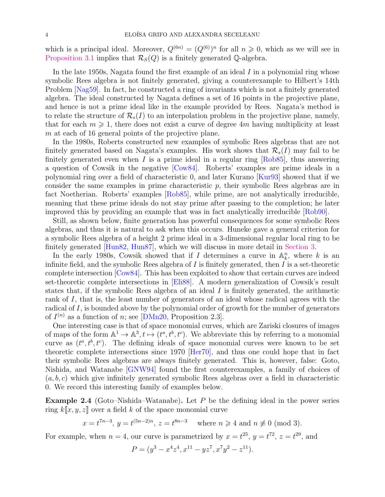which is a principal ideal. Moreover,  $Q^{(6n)} = (Q^{(6)})^n$  for all  $n \geq 0$ , which as we will see in [Proposition 3.1](#page-5-1) implies that  $\mathcal{R}_{S}(Q)$  is a finitely generated Q-algebra.

In the late 1950s, Nagata found the first example of an ideal  $I$  in a polynomial ring whose symbolic Rees algebra is not finitely generated, giving a counterexample to Hilbert's 14th Problem [\[Nag59\]](#page-21-4). In fact, he constructed a ring of invariants which is not a finitely generated algebra. The ideal constructed by Nagata defines a set of 16 points in the projective plane, and hence is not a prime ideal like in the example provided by Rees. Nagata's method is to relate the structure of  $\mathcal{R}_s(I)$  to an interpolation problem in the projective plane, namely, that for each  $m \geq 1$ , there does not exist a curve of degree 4m having multiplicity at least m at each of 16 general points of the projective plane.

In the 1980s, Roberts constructed new examples of symbolic Rees algebras that are not finitely generated based on Nagata's examples. His work shows that  $\mathcal{R}_s(I)$  may fail to be finitely generated even when  $I$  is a prime ideal in a regular ring  $[Rob85]$ , thus answering a question of Cowsik in the negative [\[Cow84\]](#page-18-1). Roberts' examples are prime ideals in a polynomial ring over a field of characteristic 0, and later Kurano [\[Kur93\]](#page-21-5) showed that if we consider the same examples in prime characteristic  $p$ , their symbolic Rees algebras are in fact Noetherian. Roberts' examples [\[Rob85\]](#page-22-6), while prime, are not analytically irreducible, meaning that these prime ideals do not stay prime after passing to the completion; he later improved this by providing an example that was in fact analytically irreducible [\[Rob90\]](#page-22-7).

Still, as shown below, finite generation has powerful consequences for some symbolic Rees algebras, and thus it is natural to ask when this occurs. Huneke gave a general criterion for a symbolic Rees algebra of a height 2 prime ideal in a 3-dimensional regular local ring to be finitely generated [\[Hun82,](#page-21-1) [Hun87\]](#page-21-6), which we will discuss in more detail in [Section 3.](#page-5-0)

In the early 1980s, Cowsik showed that if I determines a curve in  $\mathbb{A}_k^n$ , where k is an infinite field, and the symbolic Rees algebra of  $I$  is finitely generated, then  $I$  is a set-theoretic complete intersection [\[Cow84\]](#page-18-1). This has been exploited to show that certain curves are indeed set-theoretic complete intersections in [\[Eli88\]](#page-19-5). A modern generalization of Cowsik's result states that, if the symbolic Rees algebra of an ideal  $I$  is finitely generated, the arithmetic rank of I, that is, the least number of generators of an ideal whose radical agrees with the radical of I, is bounded above by the polynomial order of growth for the number of generators of  $I^{(n)}$  as a function of n; see [\[DMn20,](#page-19-6) Proposition 2.3].

One interesting case is that of space monomial curves, which are Zariski closures of images of maps of the form  $\mathbb{A}^1 \to \mathbb{A}^3$ ,  $t \mapsto (t^a, t^b, t^c)$ . We abbreviate this by referring to a monomial curve as  $(t^a, t^b, t^c)$ . The defining ideals of space monomial curves were known to be set theoretic complete intersections since 1970 [\[Her70\]](#page-20-3), and thus one could hope that in fact their symbolic Rees algebras are always finitely generated. This is, however, false: Goto, Nishida, and Watanabe [\[GNW94\]](#page-20-4) found the first counterexamples, a family of choices of  $(a, b, c)$  which give infinitely generated symbolic Rees algebras over a field in characteristic 0. We record this interesting family of examples below.

<span id="page-3-0"></span>Example 2.4 (Goto–Nishida–Watanabe). Let  $P$  be the defining ideal in the power series ring  $k\llbracket x, y, z \rrbracket$  over a field k of the space monomial curve

$$
x = t^{7n-3}
$$
,  $y = t^{(5n-2)n}$ ,  $z = t^{8n-3}$  where  $n \ge 4$  and  $n \not\equiv 0 \pmod{3}$ .

For example, when  $n = 4$ , our curve is parametrized by  $x = t^{25}$ ,  $y = t^{72}$ ,  $z = t^{29}$ , and

$$
P = (y^3 - x^4 z^4, x^{11} - yz^7, x^7 y^2 - z^{11}).
$$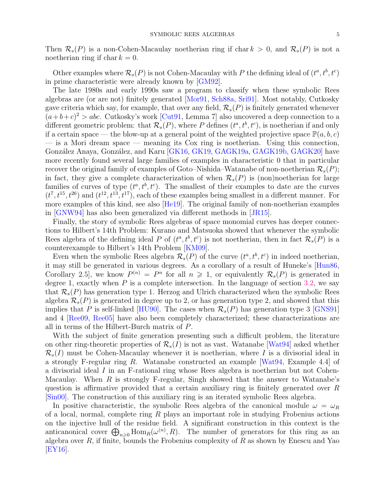Then  $\mathcal{R}_s(P)$  is a non-Cohen-Macaulay noetherian ring if char  $k > 0$ , and  $\mathcal{R}_s(P)$  is not a noetherian ring if char  $k = 0$ .

Other examples where  $\mathcal{R}_s(P)$  is not Cohen-Macaulay with P the defining ideal of  $(t^a, t^b, t^c)$ in prime characteristic were already known by [\[GM92\]](#page-20-5).

The late 1980s and early 1990s saw a program to classify when these symbolic Rees algebras are (or are not) finitely generated [\[Mor91,](#page-21-7) [Sch88a,](#page-22-8) [Sri91\]](#page-22-9). Most notably, Cutkosky gave criteria which say, for example, that over any field,  $\mathcal{R}_s(P)$  is finitely generated whenever  $(a+b+c)^2 > abc$ . Cutkosky's work [\[Cut91,](#page-19-7) Lemma 7] also uncovered a deep connection to a different geometric problem: that  $\mathcal{R}_s(P)$ , where P defines  $(t^a, t^b, t^c)$ , is noetherian if and only if a certain space — the blow-up at a general point of the weighted projective space  $\mathbb{P}(a, b, c)$  $-$  is a Mori dream space  $-$  meaning its Cox ring is noetherian. Using this connection, González Anaya, González, and Karu [\[GK16,](#page-20-6) [GK19,](#page-20-7) [GAGK19a,](#page-19-8) [GAGK19b,](#page-19-9) [GAGK20\]](#page-19-10) have more recently found several large families of examples in characteristic 0 that in particular recover the original family of examples of Goto–Nishida–Watanabe of non-noetherian  $\mathcal{R}_s(P)$ ; in fact, they give a complete characterization of when  $\mathcal{R}_s(P)$  is (non)noetherian for large families of curves of type  $(t^a, t^b, t^c)$ . The smallest of their examples to date are the curves  $(t^7, t^{15}, t^{26})$  and  $(t^{12}, t^{13}, t^{17})$ , each of these examples being smallest in a different manner. For more examples of this kind, see also [\[He19\]](#page-20-8). The original family of non-noetherian examples in [\[GNW94\]](#page-20-4) has also been generalized via different methods in [\[JR15\]](#page-21-8).

Finally, the story of symbolic Rees algebras of space monomial curves has deeper connections to Hilbert's 14th Problem: Kurano and Matsuoka showed that whenever the symbolic Rees algebra of the defining ideal P of  $(t^a, t^b, t^c)$  is not noetherian, then in fact  $\mathcal{R}_s(P)$  is a counterexample to Hilbert's 14th Problem [\[KM09\]](#page-21-9).

Even when the symbolic Rees algebra  $\mathcal{R}_s(P)$  of the curve  $(t^a, t^b, t^c)$  in indeed noetherian, it may still be generated in various degrees. As a corollary of a result of Huneke's [\[Hun86,](#page-21-10) Corollary 2.5, we know  $P^{(n)} = P^n$  for all  $n \geq 1$ , or equivalently  $\mathcal{R}_s(P)$  is generated in degree 1, exactly when  $P$  is a complete intersection. In the language of section [3.2,](#page-8-0) we say that  $\mathcal{R}_s(P)$  has generation type 1. Herzog and Ulrich characterized when the symbolic Rees algebra  $\mathcal{R}_s(P)$  is generated in degree up to 2, or has generation type 2, and showed that this implies that P is self-linked [\[HU90\]](#page-21-11). The cases when  $\mathcal{R}_s(P)$  has generation type 3 [\[GNS91\]](#page-20-9) and 4 [\[Ree09,](#page-22-10) [Ree05\]](#page-22-11) have also been completely characterized; these characterizations are all in terms of the Hilbert-Burch matrix of P.

With the subject of finite generation presenting such a difficult problem, the literature on other ring-theoretic properties of  $\mathcal{R}_s(I)$  is not as vast. Watanabe [\[Wat94\]](#page-22-12) asked whether  $\mathcal{R}_s(I)$  must be Cohen-Macaulay whenever it is noetherian, where I is a divisorial ideal in a strongly F-regular ring R. Watanabe constructed an example [\[Wat94,](#page-22-12) Example 4.4] of a divisorial ideal I in an F-rational ring whose Rees algebra is noetherian but not Cohen-Macaulay. When  $R$  is strongly F-regular, Singh showed that the answer to Watanabe's question is affirmative provided that a certain auxiliary ring is finitely generated over R [\[Sin00\]](#page-22-13). The construction of this auxiliary ring is an iterated symbolic Rees algebra.

In positive characteristic, the symbolic Rees algebra of the canonical module  $\omega = \omega_R$ of a local, normal, complete ring  $R$  plays an important role in studying Frobenius actions on the injective hull of the residue field. A significant construction in this context is the anticanonical cover  $\bigoplus_{n\geqslant 0} \text{Hom}_R(\omega^{(n)}, R)$ . The number of generators for this ring as an algebra over  $R$ , if finite, bounds the Frobenius complexity of  $R$  as shown by Enescu and Yao [\[EY16\]](#page-19-11).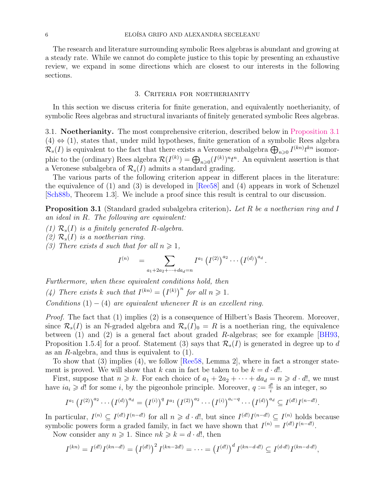The research and literature surrounding symbolic Rees algebras is abundant and growing at a steady rate. While we cannot do complete justice to this topic by presenting an exhaustive review, we expand in some directions which are closest to our interests in the following sections.

### 3. Criteria for noetherianity

<span id="page-5-0"></span>In this section we discuss criteria for finite generation, and equivalently noetherianity, of symbolic Rees algebras and structural invariants of finitely generated symbolic Rees algebras.

3.1. Noetherianity. The most comprehensive criterion, described below in [Proposition 3.1](#page-5-1)  $(4) \Leftrightarrow (1)$ , states that, under mild hypotheses, finite generation of a symbolic Rees algebra  $\mathcal{R}_s(I)$  is equivalent to the fact that there exists a Veronese subalgebra  $\bigoplus_{n\geqslant 0} I^{(kn)} t^{kn}$  isomorphic to the (ordinary) Rees algebra  $\mathcal{R}(I^{(k)}) = \bigoplus_{n\geqslant 0} (I^{(k)})^n t^n$ . An equivalent assertion is that a Veronese subalgebra of  $\mathcal{R}_s(I)$  admits a standard grading.

The various parts of the following criterion appear in different places in the literature: the equivalence of  $(1)$  and  $(3)$  is developed in [\[Ree58\]](#page-22-5) and  $(4)$  appears in work of Schenzel [\[Sch88b,](#page-22-14) Theorem 1.3]. We include a proof since this result is central to our discussion.

<span id="page-5-1"></span>**Proposition 3.1** (Standard graded subalgebra criterion). Let R be a noetherian ring and I an ideal in R. The following are equivalent:

- (1)  $\mathcal{R}_s(I)$  is a finitely generated R-algebra.
- (2)  $\mathcal{R}_s(I)$  is a noetherian ring.
- (3) There exists d such that for all  $n \geq 1$ ,

$$
I^{(n)} = \sum_{a_1+2a_2+\cdots+da_d=n} I^{a_1} (I^{(2)})^{a_2} \cdots (I^{(d)})^{a_d}.
$$

Furthermore, when these equivalent conditions hold, then (4) There exists k such that  $I^{(kn)} = (I^{(k)})^n$  for all  $n \ge 1$ . Conditions  $(1) - (4)$  are equivalent whenever R is an excellent ring.

Proof. The fact that (1) implies (2) is a consequence of Hilbert's Basis Theorem. Moreover, since  $\mathcal{R}_s(I)$  is an N-graded algebra and  $\mathcal{R}_s(I)_0 = R$  is a noetherian ring, the equivalence between (1) and (2) is a general fact about graded R-algebras; see for example [\[BH93,](#page-18-2) Proposition 1.5.4] for a proof. Statement (3) says that  $\mathcal{R}_s(I)$  is generated in degree up to d as an  $R$ -algebra, and thus is equivalent to  $(1)$ .

To show that  $(3)$  implies  $(4)$ , we follow [\[Ree58,](#page-22-5) Lemma 2], where in fact a stronger statement is proved. We will show that k can in fact be taken to be  $k = d \cdot d!$ .

First, suppose that  $n \geq k$ . For each choice of  $a_1 + 2a_2 + \cdots + da_d = n \geq d \cdot d!$ , we must have  $ia_i \geq d!$  for some i, by the pigeonhole principle. Moreover,  $q := \frac{d!}{i}$  $\frac{d!}{i}$  is an integer, so

$$
I^{a_1} (I^{(2)})^{a_2} \cdots (I^{(d)})^{a_d} = (I^{(i)})^q I^{a_1} (I^{(2)})^{a_2} \cdots (I^{(i)})^{a_i-q} \cdots (I^{(d)})^{a_d} \subseteq I^{(d!)} I^{(n-d!)}.
$$

In particular,  $I^{(n)} \subseteq I^{(d!)}I^{(n-d!)}$  for all  $n \geq d \cdot d!$ , but since  $I^{(d!)}I^{(n-d!)} \subseteq I^{(n)}$  holds because symbolic powers form a graded family, in fact we have shown that  $I^{(n)} = I^{(d)} I^{(n-d)!}$ .

Now consider any  $n \geq 1$ . Since  $nk \geq k = d \cdot d!$ , then

$$
I^{(kn)} = I^{(d!)} I^{(kn-d!)} = (I^{(d!)})^2 I^{(kn-2d!)} = \cdots = (I^{(d!)})^d I^{(kn-d \cdot d!)} \subseteq I^{(d \cdot d!)} I^{(kn-d \cdot d!)},
$$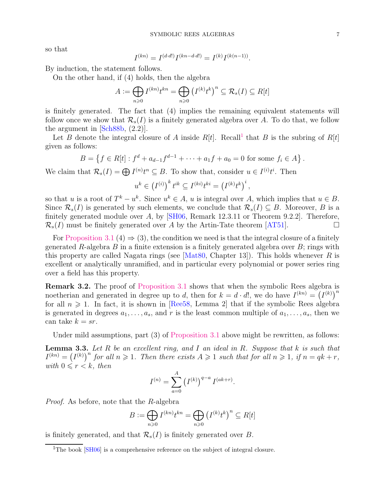so that

$$
I^{(kn)} = I^{(d \cdot d!)} I^{(kn-d \cdot d!)} = I^{(k)} I^{(k(n-1))}
$$

.

By induction, the statement follows.

On the other hand, if (4) holds, then the algebra

$$
A := \bigoplus_{n \geq 0} I^{(kn)} t^{kn} = \bigoplus_{n \geq 0} \left( I^{(k)} t^k \right)^n \subseteq \mathcal{R}_s(I) \subseteq R[t]
$$

is finitely generated. The fact that (4) implies the remaining equivalent statements will follow once we show that  $\mathcal{R}_s(I)$  is a finitely generated algebra over A. To do that, we follow the argument in [\[Sch88b,](#page-22-14) (2.2)].

Let B denote the integral closure of A inside  $R[t]$ . Recall<sup>[1](#page-6-0)</sup> that B is the subring of  $R[t]$ given as follows:

$$
B = \left\{ f \in R[t] : f^d + a_{d-1}f^{d-1} + \cdots + a_1f + a_0 = 0 \text{ for some } f_i \in A \right\}.
$$

We claim that  $\mathcal{R}_s(I) = \bigoplus I^{(n)} t^n \subseteq B$ . To show that, consider  $u \in I^{(i)} t^i$ . Then

$$
u^{k} \in (I^{(i)})^{k} t^{ik} \subseteq I^{(ki)} t^{ki} = (I^{(k)} t^{k})^{i},
$$

so that u is a root of  $T^k - u^k$ . Since  $u^k \in A$ , u is integral over A, which implies that  $u \in B$ . Since  $\mathcal{R}_s(I)$  is generated by such elements, we conclude that  $\mathcal{R}_s(I) \subseteq B$ . Moreover, B is a finitely generated module over A, by  $\left[\frac{\text{SH06}}{\text{SH06}}\right]$ , Remark 12.3.11 or Theorem 9.2.2. Therefore,  $\mathcal{R}_s(I)$  must be finitely generated over A by the Artin-Tate theorem [\[AT51\]](#page-18-3).

For [Proposition 3.1](#page-5-1) (4)  $\Rightarrow$  (3), the condition we need is that the integral closure of a finitely generated R-algebra B in a finite extension is a finitely generated algebra over  $B$ ; rings with this property are called Nagata rings (see  $[Mat80, Chapter 13]$ ). This holds whenever R is excellent or analytically unramified, and in particular every polynomial or power series ring over a field has this property.

<span id="page-6-1"></span>Remark 3.2. The proof of [Proposition 3.1](#page-5-1) shows that when the symbolic Rees algebra is noetherian and generated in degree up to d, then for  $k = d \cdot d!$ , we do have  $I^{(kn)} = (I^{(k)})^n$ for all  $n \geq 1$ . In fact, it is shown in [\[Ree58,](#page-22-5) Lemma 2] that if the symbolic Rees algebra is generated in degrees  $a_1, \ldots, a_s$ , and r is the least common multiple of  $a_1, \ldots, a_s$ , then we can take  $k = sr$ .

<span id="page-6-2"></span>Under mild assumptions, part (3) of [Proposition 3.1](#page-5-1) above might be rewritten, as follows:

**Lemma 3.3.** Let  $R$  be an excellent ring, and  $I$  an ideal in  $R$ . Suppose that  $k$  is such that  $I^{(kn)} = (I^{(k)})^n$  for all  $n \geq 1$ . Then there exists  $A \geq 1$  such that for all  $n \geq 1$ , if  $n = qk + r$ , with  $0 \leq r < k$ , then

$$
I^{(n)} = \sum_{a=0}^{A} (I^{(k)})^{q-a} I^{(ak+r)}.
$$

Proof. As before, note that the R-algebra

$$
B := \bigoplus_{n \geq 0} I^{(kn)} t^{kn} = \bigoplus_{n \geq 0} \left( I^{(k)} t^k \right)^n \subseteq R[t]
$$

is finitely generated, and that  $\mathcal{R}_s(I)$  is finitely generated over B.

<span id="page-6-0"></span><sup>&</sup>lt;sup>1</sup>The book  $[SH06]$  is a comprehensive reference on the subject of integral closure.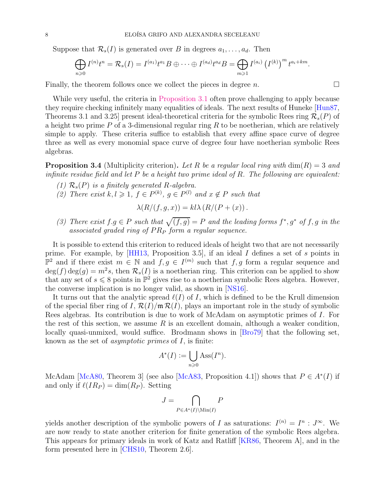Suppose that  $\mathcal{R}_s(I)$  is generated over B in degrees  $a_1, \ldots, a_d$ . Then

$$
\bigoplus_{n\geqslant 0} I^{(n)}t^n = \mathcal{R}_s(I) = I^{(a_1)}t^{a_1}B \oplus \cdots \oplus I^{(a_d)}t^{a_d}B = \bigoplus_{m\geqslant 1} I^{(a_i)}\left(I^{(k)}\right)^m t^{a_i + km}.
$$

Finally, the theorem follows once we collect the pieces in degree  $n$ .

While very useful, the criteria in [Proposition 3.1](#page-5-1) often prove challenging to apply because they require checking infinitely many equalities of ideals. The next results of Huneke [\[Hun87,](#page-21-6) Theorems 3.1 and 3.25 present ideal-theoretical criteria for the symbolic Rees ring  $\mathcal{R}_s(P)$  of a height two prime  $P$  of a 3-dimensional regular ring  $R$  to be noetherian, which are relatively simple to apply. These criteria suffice to establish that every affine space curve of degree three as well as every monomial space curve of degree four have noetherian symbolic Rees algebras.

**Proposition 3.4** (Multiplicity criterion). Let R be a regular local ring with  $\dim(R) = 3$  and infinite residue field and let  $P$  be a height two prime ideal of  $R$ . The following are equivalent:

- (1)  $\mathcal{R}_s(P)$  is a finitely generated R-algebra.
- (2) There exist  $k, l \geq 1$ ,  $f \in P^{(k)}$ ,  $g \in P^{(l)}$  and  $x \notin P$  such that

$$
\lambda(R/(f,g,x)) = k l \lambda (R/(P+(x)) .
$$

(3) There exist  $f.g \in P$  such that  $\sqrt{(f,g)} = P$  and the leading forms  $f^*, g^*$  of f, g in the associated graded ring of  $PR<sub>P</sub>$  form a regular sequence.

It is possible to extend this criterion to reduced ideals of height two that are not necessarily prime. For example, by [\[HH13,](#page-20-10) Proposition 3.5], if an ideal I defines a set of s points in  $\mathbb{P}^2$  and if there exist  $m \in \mathbb{N}$  and  $f, g \in I^{(m)}$  such that  $f, g$  form a regular sequence and  $deg(f) deg(g) = m^2 s$ , then  $\mathcal{R}_s(I)$  is a noetherian ring. This criterion can be applied to show that any set of  $s \leq 8$  points in  $\mathbb{P}^2$  gives rise to a noetherian symbolic Rees algebra. However, the converse implication is no longer valid, as shown in [\[NS16\]](#page-22-16).

It turns out that the analytic spread  $\ell(I)$  of I, which is defined to be the Krull dimension of the special fiber ring of I,  $\mathcal{R}(I)/m\mathcal{R}(I)$ , plays an important role in the study of symbolic Rees algebras. Its contribution is due to work of McAdam on asymptotic primes of I. For the rest of this section, we assume  $R$  is an excellent domain, although a weaker condition, locally quasi-unmixed, would suffice. Brodmann shows in [\[Bro79\]](#page-18-4) that the following set, known as the set of *asymptotic primes* of  $I$ , is finite:

$$
A^*(I) := \bigcup_{n \geq 0} \text{Ass}(I^n).
$$

McAdam [\[McA80,](#page-21-13) Theorem 3] (see also [\[McA83,](#page-21-14) Proposition 4.1]) shows that  $P \in A^*(I)$  if and only if  $\ell (IR_P) = \dim(R_P)$ . Setting

$$
J = \bigcap_{P \in A^*(I) \setminus \text{Min}(I)} P
$$

yields another description of the symbolic powers of I as saturations:  $I^{(n)} = I^n : J^{\infty}$ . We are now ready to state another criterion for finite generation of the symbolic Rees algebra. This appears for primary ideals in work of Katz and Ratliff [\[KR86,](#page-21-15) Theorem A], and in the form presented here in [\[CHS10,](#page-18-5) Theorem 2.6].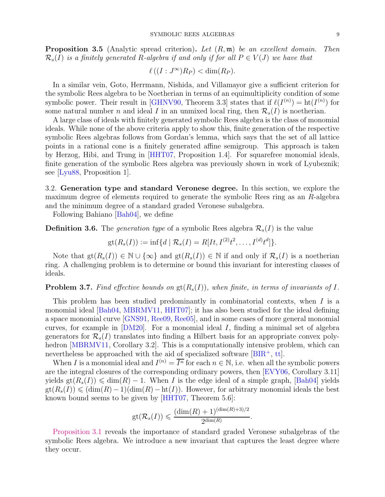**Proposition 3.5** (Analytic spread criterion). Let  $(R, \mathfrak{m})$  be an excellent domain. Then  $\mathcal{R}_s(I)$  is a finitely generated R-algebra if and only if for all  $P \in V(J)$  we have that

$$
\ell((I:J^{\infty})R_P) < \dim(R_P).
$$

In a similar vein, Goto, Herrmann, Nishida, and Villamayor give a sufficient criterion for the symbolic Rees algebra to be Noetherian in terms of an equimultiplicity condition of some symbolic power. Their result in [\[GHNV90,](#page-20-11) Theorem 3.3] states that if  $\ell(I^{(n)}) = \text{ht}(I^{(n)})$  for some natural number n and ideal I in an unmixed local ring, then  $\mathcal{R}_s(I)$  is noetherian.

A large class of ideals with finitely generated symbolic Rees algebra is the class of monomial ideals. While none of the above criteria apply to show this, finite generation of the respective symbolic Rees algebras follows from Gordan's lemma, which says that the set of all lattice points in a rational cone is a finitely generated affine semigroup. This approach is taken by Herzog, Hibi, and Trung in [\[HHT07,](#page-20-12) Proposition 1.4]. For squarefree monomial ideals, finite generation of the symbolic Rees algebra was previously shown in work of Lyubeznik; see [\[Lyu88,](#page-21-16) Proposition 1].

<span id="page-8-0"></span>3.2. Generation type and standard Veronese degree. In this section, we explore the maximum degree of elements required to generate the symbolic Rees ring as an R-algebra and the minimum degree of a standard graded Veronese subalgebra.

Following Bahiano [\[Bah04\]](#page-18-6), we define

**Definition 3.6.** The generation type of a symbolic Rees algebra  $\mathcal{R}_s(I)$  is the value

$$
gt(R_s(I)) := \inf\{d \mid \mathcal{R}_s(I) = R[It, I^{(2)}t^2, \dots, I^{(d)}t^d]\}.
$$

Note that  $gt(R_s(I)) \in \mathbb{N} \cup \{\infty\}$  and  $gt(R_s(I)) \in \mathbb{N}$  if and only if  $\mathcal{R}_s(I)$  is a noetherian ring. A challenging problem is to determine or bound this invariant for interesting classes of ideals.

## **Problem 3.7.** Find effective bounds on  $gt(R_s(I))$ , when finite, in terms of invariants of I.

This problem has been studied predominantly in combinatorial contexts, when  $I$  is a monomial ideal [\[Bah04,](#page-18-6) [MBRMV11,](#page-21-17) [HHT07\]](#page-20-12); it has also been studied for the ideal defining a space monomial curve [\[GNS91,](#page-20-9) [Ree09,](#page-22-10) [Ree05\]](#page-22-11), and in some cases of more general monomial curves, for example in  $[DM20]$ . For a monomial ideal I, finding a minimal set of algebra generators for  $\mathcal{R}_s(I)$  translates into finding a Hilbert basis for an appropriate convex poly-hedron [\[MBRMV11,](#page-21-17) Corollary 3.2]. This is a computationally intensive problem, which can nevertheless be approached with the aid of specialized software  $[BIR^+, \text{tt}]$ .

When I is a monomial ideal and  $I^{(n)} = \overline{I^n}$  for each  $n \in \mathbb{N}$ , i.e. when all the symbolic powers are the integral closures of the corresponding ordinary powers, then [\[EVY06,](#page-19-13) Corollary 3.11] yields  $gt(R_s(I)) \leq \dim(R) - 1$ . When I is the edge ideal of a simple graph, [\[Bah04\]](#page-18-6) yields  $gt(R_s(I)) \leq (\dim(R) - 1)(\dim(R) - ht(I)).$  However, for arbitrary monomial ideals the best known bound seems to be given by [\[HHT07,](#page-20-12) Theorem 5.6]:

$$
\text{gt}(\mathcal{R}_s(I)) \leqslant \frac{(\dim(R) + 1)^{(\dim(R) + 3)/2}}{2^{\dim(R)}}.
$$

[Proposition 3.1](#page-5-1) reveals the importance of standard graded Veronese subalgebras of the symbolic Rees algebra. We introduce a new invariant that captures the least degree where they occur.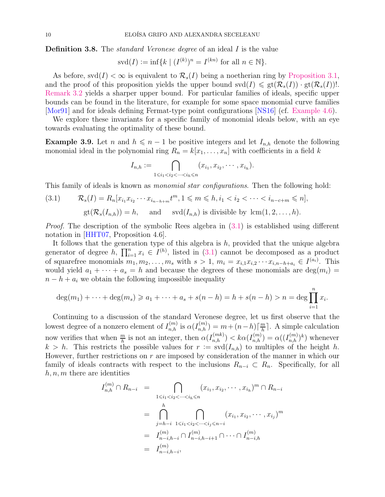**Definition 3.8.** The *standard Veronese degree* of an ideal I is the value

$$
svd(I) := \inf \{ k \mid (I^{(k)})^n = I^{(kn)} \text{ for all } n \in \mathbb{N} \}.
$$

As before,  $\text{svd}(I) < \infty$  is equivalent to  $\mathcal{R}_s(I)$  being a noetherian ring by [Proposition 3.1,](#page-5-1) and the proof of this proposition yields the upper bound  $\mathrm{svd}(I) \leq \mathrm{gt}(\mathcal{R}_s(I)) \cdot \mathrm{gt}(\mathcal{R}_s(I))$ ! [Remark 3.2](#page-6-1) yields a sharper upper bound. For particular families of ideals, specific upper bounds can be found in the literature, for example for some space monomial curve families [\[Mor91\]](#page-21-7) and for ideals defining Fermat-type point configurations [\[NS16\]](#page-22-16) (cf. [Example 4.6\)](#page-11-0).

<span id="page-9-1"></span>We explore these invariants for a specific family of monomial ideals below, with an eye towards evaluating the optimality of these bound.

**Example 3.9.** Let n and  $h \leq n - 1$  be positive integers and let  $I_{n,h}$  denote the following monomial ideal in the polynomial ring  $R_n = k[x_1, \ldots, x_n]$  with coefficients in a field k

$$
I_{n,h}:=\bigcap_{1\leq i_1
$$

This family of ideals is known as *monomial star configurations*. Then the following hold:

<span id="page-9-0"></span>(3.1) 
$$
\mathcal{R}_s(I) = R_n[x_{i_1}x_{i_2}\cdots x_{i_{n-h+m}}t^m, 1 \leq m \leq h, i_1 < i_2 < \cdots < i_{n-c+m} \leq n],
$$
  
 
$$
gt(\mathcal{R}_s(I_{n,h})) = h, \text{ and } svd(I_{n,h}) \text{ is divisible by } lcm(1, 2, \ldots, h).
$$

*Proof.* The description of the symbolic Rees algebra in  $(3.1)$  is established using different notation in [\[HHT07,](#page-20-12) Proposition 4.6].

It follows that the generation type of this algebra is  $h$ , provided that the unique algebra generator of degree h,  $\prod_{i=1}^{n} x_i \in I^{(h)}$ , listed in [\(3.1\)](#page-9-0) cannot be decomposed as a product of squarefree monomials  $m_1, m_2, \ldots, m_s$  with  $s > 1, m_i = x_{i,1}x_{i,2} \cdots x_{i,n-h+a_i} \in I^{(a_i)}$ . This would yield  $a_1 + \cdots + a_s = h$  and because the degrees of these monomials are  $deg(m_i)$  $n - h + a_i$  we obtain the following impossible inequality

$$
\deg(m_1) + \dots + \deg(m_s) \geq a_1 + \dots + a_s + s(n - h) = h + s(n - h) > n = \deg \prod_{i=1}^n x_i.
$$

Continuing to a discussion of the standard Veronese degree, let us first observe that the lowest degree of a nonzero element of  $I_{n,h}^{(m)}$  is  $\alpha(I_{n,h}^{(m)}) = m + (n-h)\left[\frac{m}{h}\right]$  $\frac{m}{h}$ . A simple calculation now verifies that when  $\frac{m}{h}$  is not an integer, then  $\alpha(I_{n,h}^{(mk)}) < k\alpha(I_{n,h}^{(m)}) = \alpha((I_{n,h}^{(m)})^k)$  whenever  $k > h$ . This restricts the possible values for  $r := \text{svd}(I_{n,h})$  to multiples of the height h. However, further restrictions on  $r$  are imposed by consideration of the manner in which our family of ideals contracts with respect to the inclusions  $R_{n-i} \subset R_n$ . Specifically, for all  $h, n, m$  there are identities

$$
I_{n,h}^{(m)} \cap R_{n-i} = \bigcap_{1 \le i_1 < i_2 < \dots < i_h \le n} (x_{i_1}, x_{i_2}, \dots, x_{i_h})^m \cap R_{n-i}
$$
  

$$
= \bigcap_{j=h-i}^h \bigcap_{1 \le i_1 < i_2 < \dots < i_j \le n-i} (x_{i_1}, x_{i_2}, \dots, x_{i_j})^m
$$
  

$$
= I_{n-i,h-i}^{(m)} \cap I_{n-i,h-i+1}^{(m)} \cap \dots \cap I_{n-i,h}^{(m)}
$$
  

$$
= I_{n-i,h-i}^{(m)},
$$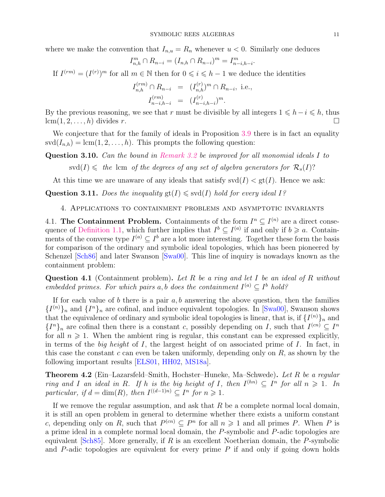where we make the convention that  $I_{n,u} = R_n$  whenever  $u < 0$ . Similarly one deduces

$$
I_{n,h}^m \cap R_{n-i} = (I_{n,h} \cap R_{n-i})^m = I_{n-i,h-i}^m.
$$

If  $I^{(rm)} = (I^{(r)})^m$  for all  $m \in \mathbb{N}$  then for  $0 \leq i \leq h-1$  we deduce the identities

$$
I_{n,h}^{(rm)} \cap R_{n-i} = (I_{n,h}^{(r)})^m \cap R_{n-i}, \text{ i.e.,}
$$
  

$$
I_{n-i,h-i}^{(rm)} = (I_{n-i,h-i}^{(r)})^m.
$$

By the previous reasoning, we see that r must be divisible by all integers  $1 \le h-i \le h$ , thus  $\lfloor \text{cm}(1, 2, \ldots, h) \rfloor$  divides r  $lcm(1, 2, \ldots, h)$  divides r.

We conjecture that for the family of ideals in Proposition [3.9](#page-9-1) there is in fact an equality  $\mathrm{svd}(I_{n,h}) = \mathrm{lcm}(1,2,\ldots,h)$ . This prompts the following question:

Question 3.10. Can the bound in [Remark 3.2](#page-6-1) be improved for all monomial ideals I to  $\mathrm{svd}(I) \leqslant$  the lcm of the degrees of any set of algebra generators for  $\mathcal{R}_s(I)$ ?

At this time we are unaware of any ideals that satisfy  $\mathrm{svd}(I) < \mathrm{gt}(I)$ . Hence we ask:

<span id="page-10-0"></span>Question 3.11. Does the inequality  $\text{gt}(I) \leq \text{svd}(I)$  hold for every ideal I?

4. Applications to containment problems and asymptotic invariants

4.1. The Containment Problem. Containments of the form  $I^n \subseteq I^{(n)}$  are a direct conse-quence of [Definition 1.1,](#page-0-1) which further implies that  $I^b \subseteq I^{(a)}$  if and only if  $b \geq a$ . Containments of the converse type  $I^{(a)} \subseteq I^b$  are a lot more interesting. Together these form the basis for comparison of the ordinary and symbolic ideal topologies, which has been pioneered by Schenzel [\[Sch86\]](#page-22-18) and later Swanson [\[Swa00\]](#page-22-19). This line of inquiry is nowadays known as the containment problem:

<span id="page-10-2"></span>**Question 4.1** (Containment problem). Let R be a ring and let I be an ideal of R without embedded primes. For which pairs a, b does the containment  $I^{(a)} \subseteq I^b$  hold?

If for each value of  $b$  there is a pair  $a, b$  answering the above question, then the families  ${I^{(n)}}_n$  and  ${I^n}_n$  are cofinal, and induce equivalent topologies. In [\[Swa00\]](#page-22-19), Swanson shows that the equivalence of ordinary and symbolic ideal topologies is linear, that is, if  $\{I^{(n)}_k\}$  and  ${I^n}_n$  are cofinal then there is a constant c, possibly depending on I, such that  $I^{(cn)} \subseteq I^n$ for all  $n \geq 1$ . When the ambient ring is regular, this constant can be expressed explicitly, in terms of the big height of I, the largest height of on associated prime of I. In fact, in this case the constant c can even be taken uniformly, depending only on  $R$ , as shown by the following important results [\[ELS01,](#page-19-14) [HH02,](#page-20-13) [MS18a\]](#page-21-18).

<span id="page-10-1"></span>Theorem 4.2 (Ein–Lazarsfeld–Smith, Hochster–Huneke, Ma–Schwede). Let R be a regular ring and I an ideal in R. If h is the big height of I, then  $I^{(hn)} \subseteq I^n$  for all  $n \geq 1$ . In particular, if  $d = \dim(R)$ , then  $I^{((d-1)n)} \subseteq I^n$  for  $n \geq 1$ .

If we remove the regular assumption, and ask that  $R$  be a complete normal local domain, it is still an open problem in general to determine whether there exists a uniform constant c, depending only on R, such that  $P^{(cn)} \subseteq P^n$  for all  $n \geq 1$  and all primes P. When P is a prime ideal in a complete normal local domain, the P-symbolic and P-adic topologies are equivalent  $\lvert Sch85\rvert$ . More generally, if R is an excellent Noetherian domain, the P-symbolic and  $P$ -adic topologies are equivalent for every prime  $P$  if and only if going down holds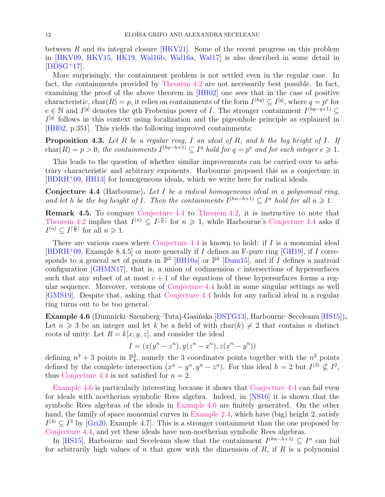between R and its integral closure  $[HKV21]$ . Some of the recent progress on this problem in [\[HKV09,](#page-20-15) [HKV15,](#page-20-16) [HK19,](#page-20-17) [Wal16b,](#page-22-21) [Wal16a,](#page-22-22) [Wal17\]](#page-22-23) is also described in some detail in  $[DDSG<sup>+</sup>17]$  $[DDSG<sup>+</sup>17]$ .

More surprisingly, the containment problem is not settled even in the regular case. In fact, the containments provided by [Theorem 4.2](#page-10-1) are not necessarily best possible. In fact, examining the proof of the above theorem in [\[HH02\]](#page-20-13) one sees that in the case of positive characteristic, char $(R) = p$ , it relies on containments of the form  $I^{(hq)} \subseteq I^{[q]}$ , where  $q = p^e$  for  $e \in \mathbb{N}$  and  $I^{[q]}$  denotes the qth Frobenius power of I. The stronger containment  $I^{(hq-q+1)} \subseteq$  $I<sup>[q]</sup>$  follows in this context using localization and the pigeonhole principle as explained in [\[HH02,](#page-20-13) p.351]. This yields the following improved containments:

**Proposition 4.3.** Let R be a regular ring, I an ideal of R, and h the big height of I. If  $char(R) = p > 0$ , the containments  $I^{(hq-h+1)} \subseteq I^q$  hold for  $q = p^e$  and for each integer  $e \geq 1$ .

This leads to the question of whether similar improvements can be carried over to arbitrary characteristic and arbitrary exponents. Harbourne proposed this as a conjecture in [\[BDRH](#page-18-8)<sup>+</sup>09, [HH13\]](#page-20-10) for homogeneous ideals, which we write here for radical ideals.

<span id="page-11-1"></span>Conjecture 4.4 (Harbourne). Let I be a radical homogeneous ideal in a polynomial ring, and let h be the big height of I. Then the containments  $I^{(hn-h+1)} \subseteq I^n$  hold for all  $n \geq 1$ .

Remark 4.5. To compare [Conjecture 4.4](#page-11-1) to [Theorem 4.2,](#page-10-1) it is instructive to note that [Theorem 4.2](#page-10-1) implies that  $I^{(n)} \subseteq I^{\lfloor \frac{n}{h} \rfloor}$  for  $n \geq 1$ , while Harbourne's [Conjecture 4.4](#page-11-1) asks if  $I^{(n)} \subseteq I^{\lceil \frac{n}{h} \rceil}$  for all  $n \geqslant 1$ .

There are various cases where [Conjecture 4.4](#page-11-1) is known to hold: if  $I$  is a monomial ideal  $[BDRH^+09,$  $[BDRH^+09,$  Example 8.4.5 or more generally if I defines an F-pure ring  $[GH19]$ , if I corresponds to a general set of points in  $\mathbb{P}^2$  [\[BH10a\]](#page-18-9) or  $\mathbb{P}^3$  [\[Dum15\]](#page-19-16), and if I defines a matroid configuration [\[GHMN17\]](#page-20-18), that is, a union of codimension  $c$  intersections of hypersurfaces such that any subset of at most  $c + 1$  of the equations of these hypersurfaces forms a regular sequence. Moreover, versions of [Conjecture 4.4](#page-11-1) hold in some singular settings as well [\[GMS19\]](#page-20-19). Despite that, asking that [Conjecture 4.4](#page-11-1) holds for any radical ideal in a regular ring turns out to be too general.

<span id="page-11-0"></span>Example 4.6 (Dumnicki–Szemberg–Tutaj-Gasińska [\[DSTG13\]](#page-19-17), Harbourne–Seceleanu [\[HS15\]](#page-20-20)). Let  $n \geq 3$  be an integer and let k be a field of with char(k)  $\neq 2$  that contains n distinct roots of unity. Let  $R = k[x, y, z]$ , and consider the ideal

$$
I = (x(y^{n} - z^{n}), y(z^{n} - x^{n}), z(x^{n} - y^{n}))
$$

defining  $n^2 + 3$  points in  $\mathbb{P}_k^2$ , namely the 3 coordinates points together with the  $n^2$  points defined by the complete intersection  $(x^n - y^n, y^n - z^n)$ . For this ideal  $h = 2$  but  $I^{(3)} \nsubseteq I^2$ , thus [Conjecture 4.4](#page-11-1) is not satisfied for  $n = 2$ .

[Example 4.6](#page-11-0) is particularly interesting because it shows that [Conjecture 4.4](#page-11-1) can fail even for ideals with noetherian symbolic Rees algebra. Indeed, in [\[NS16\]](#page-22-16) it is shown that the symbolic Rees algebras of the ideals in [Example 4.6](#page-11-0) are finitely generated. On the other hand, the family of space monomial curves in [Example 2.4,](#page-3-0) which have (big) height 2, satisfy  $I^{(4)} \subseteq I^3$  by [\[Gri20,](#page-20-21) Example 4.7]. This is a stronger containment than the one proposed by [Conjecture 4.4,](#page-11-1) and yet these ideals have non-noetherian symbolic Rees algebras.

In [\[HS15\]](#page-20-20), Harbourne and Seceleanu show that the containment  $I^{(hn-h+1)} \subseteq I^n$  can fail for arbitrarily high values of n that grow with the dimension of  $R$ , if  $R$  is a polynomial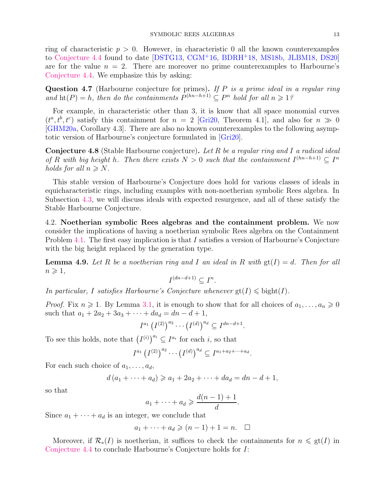ring of characteristic  $p > 0$ . However, in characteristic 0 all the known counterexamples to [Conjecture 4.4](#page-11-1) found to date [\[DSTG13,](#page-19-17) [CGM](#page-18-10)<sup>+</sup>16, [BDRH](#page-18-11)<sup>+</sup>18, [MS18b,](#page-21-19) [JLBM18,](#page-21-20) [DS20\]](#page-19-18) are for the value  $n = 2$ . There are moreover no prime counterexamples to Harbourne's [Conjecture 4.4.](#page-11-1) We emphasize this by asking:

**Question 4.7** (Harbourne conjecture for primes). If  $P$  is a prime ideal in a regular ring and  $\text{ht}(P) = h$ , then do the containments  $P^{(hn-h+1)} \subseteq P^n$  hold for all  $n \geq 1$ ?

For example, in characteristic other than 3, it is know that all space monomial curves  $(t^a, t^b, t^c)$  satisfy this containment for  $n = 2$  [\[Gri20,](#page-20-21) Theorem 4.1], and also for  $n \gg 0$ [\[GHM20a,](#page-20-22) Corollary 4.3]. There are also no known counterexamples to the following asymptotic version of Harbourne's conjecture formulated in [\[Gri20\]](#page-20-21).

<span id="page-12-1"></span>Conjecture 4.8 (Stable Harbourne conjecture). Let R be a regular ring and I a radical ideal of R with big height h. Then there exists  $N > 0$  such that the containment  $I^{(hn-h+1)} \subseteq I^n$ holds for all  $n \geq N$ .

This stable version of Harbourne's Conjecture does hold for various classes of ideals in equicharacteristic rings, including examples with non-noetherian symbolic Rees algebra. In Subsection [4.3,](#page-14-0) we will discuss ideals with expected resurgence, and all of these satisfy the Stable Harbourne Conjecture.

4.2. Noetherian symbolic Rees algebras and the containment problem. We now consider the implications of having a noetherian symbolic Rees algebra on the Containment Problem [4.1.](#page-10-2) The first easy implication is that I satisfies a version of Harbourne's Conjecture with the big height replaced by the generation type.

**Lemma 4.9.** Let R be a noetherian ring and I an ideal in R with  $gt(I) = d$ . Then for all  $n \geqslant 1$ ,

$$
I^{(dn-d+1)} \subseteq I^n.
$$

In particular, I satisfies Harbourne's Conjecture whenever  $gt(1) \leqslant \text{bight}(I)$ .

*Proof.* Fix  $n \geq 1$ . By Lemma [3.1,](#page-5-1) it is enough to show that for all choices of  $a_1, \ldots, a_n \geq 0$ such that  $a_1 + 2a_2 + 3a_3 + \cdots + da_d = dn - d + 1$ ,

$$
I^{a_1} (I^{(2)})^{a_2} \cdots (I^{(d)})^{a_d} \subseteq I^{dn-d+1}.
$$

To see this holds, note that  $(I^{(i)})^{a_i} \subseteq I^{a_i}$  for each *i*, so that

$$
I^{a_1} (I^{(2)})^{a_2} \cdots (I^{(d)})^{a_d} \subseteq I^{a_1 + a_2 + \cdots + a_d}.
$$

For each such choice of  $a_1, \ldots, a_d$ ,

$$
d(a_1 + \dots + a_d) \geq a_1 + 2a_2 + \dots + da_d = dn - d + 1,
$$

so that

$$
a_1 + \dots + a_d \geqslant \frac{d(n-1)+1}{d}.
$$

Since  $a_1 + \cdots + a_d$  is an integer, we conclude that

$$
a_1 + \dots + a_d \geqslant (n-1) + 1 = n. \quad \Box
$$

<span id="page-12-0"></span>Moreover, if  $\mathcal{R}_s(I)$  is noetherian, it suffices to check the containments for  $n \leq \text{gt}(I)$  in [Conjecture 4.4](#page-11-1) to conclude Harbourne's Conjecture holds for I: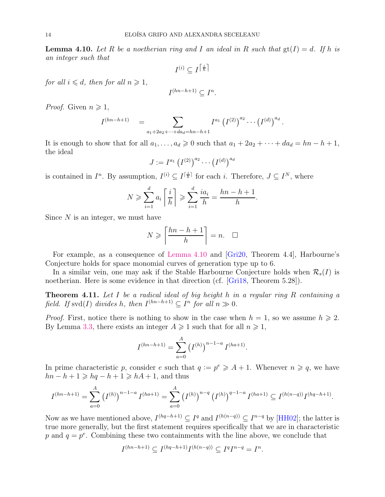**Lemma 4.10.** Let R be a noetherian ring and I an ideal in R such that  $gt(I) = d$ . If h is an integer such that

$$
I^{(i)} \subseteq I^{\left\lceil \frac{i}{h} \right\rceil}
$$

for all  $i \leq d$ , then for all  $n \geq 1$ ,

$$
I^{(hn-h+1)} \subseteq I^n.
$$

*Proof.* Given  $n \geq 1$ ,

$$
I^{(hn-h+1)} = \sum_{a_1+2a_2+\cdots+da_d=hn-h+1} I^{a_1} (I^{(2)})^{a_2} \cdots (I^{(d)})^{a_d}.
$$

It is enough to show that for all  $a_1, \ldots, a_d \geq 0$  such that  $a_1 + 2a_2 + \cdots + da_d = hn - h + 1$ , the ideal

$$
J := I^{a_1} (I^{(2)})^{a_2} \cdots (I^{(d)})^{a_d}
$$

is contained in  $I^n$ . By assumption,  $I^{(i)} \subseteq I^{[\frac{i}{h}]}$  for each i. Therefore,  $J \subseteq I^N$ , where

$$
N \geqslant \sum_{i=1}^d a_i \left\lceil \frac{i}{h} \right\rceil \geqslant \sum_{i=1}^d \frac{ia_i}{h} = \frac{hn - h + 1}{h}.
$$

Since  $N$  is an integer, we must have

$$
N \geqslant \left\lceil \frac{hn - h + 1}{h} \right\rceil = n. \quad \Box
$$

For example, as a consequence of [Lemma 4.10](#page-12-0) and [\[Gri20,](#page-20-21) Theorem 4.4], Harbourne's Conjecture holds for space monomial curves of generation type up to 6.

In a similar vein, one may ask if the Stable Harbourne Conjecture holds when  $\mathcal{R}_s(I)$  is noetherian. Here is some evidence in that direction (cf. [\[Gri18,](#page-20-23) Theorem 5.28]).

**Theorem 4.11.** Let I be a radical ideal of big height h in a regular ring R containing a field. If svd(I) divides h, then  $I^{(hn-h+1)} \subseteq I^n$  for all  $n \gg 0$ .

*Proof.* First, notice there is nothing to show in the case when  $h = 1$ , so we assume  $h \ge 2$ . By Lemma [3.3,](#page-6-2) there exists an integer  $A \geq 1$  such that for all  $n \geq 1$ ,

$$
I^{(hn-h+1)} = \sum_{a=0}^{A} (I^{(h)})^{n-1-a} I^{(ha+1)}.
$$

In prime characteristic p, consider e such that  $q := p^e \geq A + 1$ . Whenever  $n \geq q$ , we have  $hn - h + 1 \geqslant hq - h + 1 \geqslant hA + 1$ , and thus

$$
I^{(hn-h+1)} = \sum_{a=0}^{A} (I^{(h)})^{n-1-a} I^{(ha+1)} = \sum_{a=0}^{A} (I^{(h)})^{n-q} (I^{(h)})^{q-1-a} I^{(ha+1)} \subseteq I^{(h(n-q))} I^{(ha+h+1)}.
$$

Now as we have mentioned above,  $I^{(hq-h+1)} \subseteq I^q$  and  $I^{(h(n-q))} \subseteq I^{n-q}$  by [\[HH02\]](#page-20-13); the latter is true more generally, but the first statement requires specifically that we are in characteristic p and  $q = p^e$ . Combining these two containments with the line above, we conclude that

$$
I^{(hn-h+1)} \subseteq I^{(hq-h+1)}I^{(h(n-q))} \subseteq I^qI^{n-q} = I^n.
$$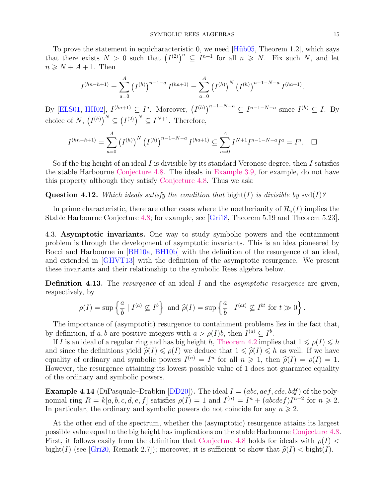To prove the statement in equicharacteristic 0, we need [Hüb05, Theorem 1.2], which says that there exists  $N > 0$  such that  $(I^{(2)})^n \subseteq I^{n+1}$  for all  $n \geq N$ . Fix such N, and let  $n \geq N + A + 1$ . Then

$$
I^{(hn-h+1)} = \sum_{a=0}^{A} (I^{(h)})^{n-1-a} I^{(ha+1)} = \sum_{a=0}^{A} (I^{(h)})^N (I^{(h)})^{n-1-N-a} I^{(ha+1)}.
$$

By [\[ELS01,](#page-19-14) [HH02\]](#page-20-13),  $I^{(ha+1)} \subseteq I^a$ . Moreover,  $(I^{(h)})^{n-1-N-a} \subseteq I^{n-1-N-a}$  since  $I^{(h)} \subseteq I$ . By choice of N,  $(I^{(h)})^N \subseteq (I^{(2)})^N \subseteq I^{N+1}$ . Therefore,

$$
I^{(hn-h+1)} = \sum_{a=0}^{A} (I^{(h)})^N (I^{(h)})^{n-1-N-a} I^{(ha+1)} \subseteq \sum_{a=0}^{A} I^{N+1} I^{n-1-N-a} I^a = I^n. \quad \Box
$$

So if the big height of an ideal I is divisible by its standard Veronese degree, then I satisfies the stable Harbourne [Conjecture 4.8.](#page-12-1) The ideals in [Example 3.9,](#page-9-1) for example, do not have this property although they satisfy [Conjecture 4.8.](#page-12-1) Thus we ask:

Question 4.12. Which ideals satisfy the condition that bight(I) is divisible by  $\text{svd}(I)$ ?

In prime characteristic, there are other cases where the noetherianity of  $\mathcal{R}_s(I)$  implies the Stable Harbourne Conjecture [4.8;](#page-12-1) for example, see [\[Gri18,](#page-20-23) Theorem 5.19 and Theorem 5.23].

<span id="page-14-0"></span>4.3. Asymptotic invariants. One way to study symbolic powers and the containment problem is through the development of asymptotic invariants. This is an idea pioneered by Bocci and Harbourne in [\[BH10a,](#page-18-9) [BH10b\]](#page-18-12) with the definition of the resurgence of an ideal, and extended in [\[GHVT13\]](#page-20-24) with the definition of the asymptotic resurgence. We present these invariants and their relationship to the symbolic Rees algebra below.

**Definition 4.13.** The *resurgence* of an ideal  $I$  and the *asymptotic resurgence* are given, respectively, by

$$
\rho(I) = \sup \left\{ \frac{a}{b} \mid I^{(a)} \nsubseteq I^b \right\} \text{ and } \widehat{\rho}(I) = \sup \left\{ \frac{a}{b} \mid I^{(at)} \nsubseteq I^{bt} \text{ for } t \gg 0 \right\}.
$$

The importance of (asymptotic) resurgence to containment problems lies in the fact that, by definition, if a, b are positive integers with  $a > \rho(I)b$ , then  $I^{(a)} \subseteq I^b$ .

If I is an ideal of a regular ring and has big height h, [Theorem 4.2](#page-10-1) implies that  $1 \leq \rho(I) \leq h$ and since the definitions yield  $\hat{\rho}(I) \leq \rho(I)$  we deduce that  $1 \leq \hat{\rho}(I) \leq h$  as well. If we have equality of ordinary and symbolic powers  $I^{(n)} = I^n$  for all  $n \geq 1$ , then  $\hat{\rho}(I) = \rho(I) = 1$ .<br>However, the requirement of the line its length possible value of 1 does not guarantee equality However, the resurgence attaining its lowest possible value of 1 does not guarantee equality of the ordinary and symbolic powers.

**Example 4.14** (DiPasquale–Drabkin  $[DD20]$ ). The ideal  $I = (abc, aef, cde, bdf)$  of the polynomial ring  $R = k[a, b, c, d, e, f]$  satisfies  $\rho(I) = 1$  and  $I^{(n)} = I^n + (abcdef)I^{n-2}$  for  $n \ge 2$ . In particular, the ordinary and symbolic powers do not coincide for any  $n \geq 2$ .

At the other end of the spectrum, whether the (asymptotic) resurgence attains its largest possible value equal to the big height has implications on the stable Harbourne [Conjecture 4.8.](#page-12-1) First, it follows easily from the definition that [Conjecture 4.8](#page-12-1) holds for ideals with  $\rho(I)$  < bight(I) (see [\[Gri20,](#page-20-21) Remark 2.7]); moreover, it is sufficient to show that  $\hat{\rho}(I) <$  bight(I).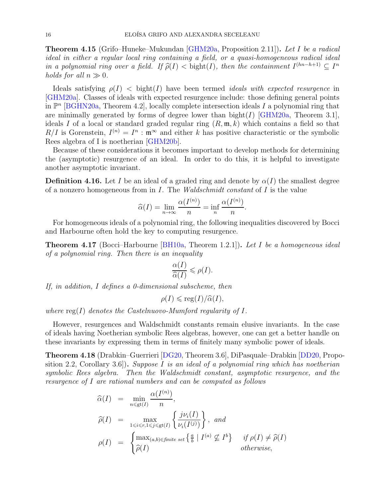**Theorem 4.15** (Grifo–Huneke–Mukundan [\[GHM20a,](#page-20-22) Proposition 2.11]). Let I be a radical ideal in either a regular local ring containing a field, or a quasi-homogeneous radical ideal in a polynomial ring over a field. If  $\widehat{\rho}(I) <$  bight(I), then the containment  $I^{(hn-h+1)} \subseteq I^n$ holds for all  $n \gg 0$ .

Ideals satisfying  $\rho(I)$  < bight(I) have been termed *ideals with expected resurgence* in [\[GHM20a\]](#page-20-22). Classes of ideals with expected resurgence include: those defining general points in  $\mathbb{P}^n$  [\[BGHN20a,](#page-18-13) Theorem 4.2], locally complete intersection ideals I a polynomial ring that are minimally generated by forms of degree lower than  $bight(I)$  [\[GHM20a,](#page-20-22) Theorem 3.1], ideals I of a local or standard graded regular ring  $(R, \mathfrak{m}, k)$  which contains a field so that  $R/I$  is Gorenstein,  $I^{(n)} = I^n$ :  $\mathfrak{m}^{\infty}$  and either k has positive characteristic or the symbolic Rees algebra of I is noetherian [\[GHM20b\]](#page-20-25).

Because of these considerations it becomes important to develop methods for determining the (asymptotic) resurgence of an ideal. In order to do this, it is helpful to investigate another asymptotic invariant.

<span id="page-15-0"></span>**Definition 4.16.** Let I be an ideal of a graded ring and denote by  $\alpha(I)$  the smallest degree of a nonzero homogeneous from in  $I$ . The *Waldschmidt constant* of  $I$  is the value

$$
\widehat{\alpha}(I) = \lim_{n \to \infty} \frac{\alpha(I^{(n)})}{n} = \inf_{n} \frac{\alpha(I^{(n)})}{n}.
$$

For homogeneous ideals of a polynomial ring, the following inequalities discovered by Bocci and Harbourne often hold the key to computing resurgence.

**Theorem 4.17** (Bocci–Harbourne [\[BH10a,](#page-18-9) Theorem 1.2.1]). Let I be a homogeneous ideal of a polynomial ring. Then there is an inequality

$$
\frac{\alpha(I)}{\widehat{\alpha}(I)} \leqslant \rho(I).
$$

If, in addition, I defines a 0-dimensional subscheme, then

$$
\rho(I) \leqslant \text{reg}(I)/\widehat{\alpha}(I),
$$

where  $\text{reg}(I)$  denotes the Castelnuovo-Mumford regularity of  $I$ .

However, resurgences and Waldschmidt constants remain elusive invariants. In the case of ideals having Noetherian symbolic Rees algebras, however, one can get a better handle on these invariants by expressing them in terms of finitely many symbolic power of ideals.

Theorem 4.18 (Drabkin–Guerrieri [\[DG20,](#page-19-20) Theorem 3.6], DiPasquale–Drabkin [\[DD20,](#page-19-19) Proposition 2.2, Corollary 3.6.). Suppose I is an ideal of a polynomial ring which has noetherian symbolic Rees algebra. Then the Waldschmidt constant, asymptotic resurgence, and the resurgence of I are rational numbers and can be computed as follows

$$
\begin{aligned}\n\widehat{\alpha}(I) &= \min_{n \leq \text{gt}(I)} \frac{\alpha(I^{(n)})}{n}, \\
\widehat{\rho}(I) &= \max_{1 \leq i \leq r, 1 \leq j \leq \text{gt}(I)} \left\{ \frac{j\nu_i(I)}{\nu_i(I^{(j)})} \right\}, \text{ and} \\
\rho(I) &= \begin{cases}\n\max_{(a,b) \in \text{finite set}} \left\{ \frac{a}{b} \mid I^{(a)} \nsubseteq I^b \right\} & \text{if } \rho(I) \neq \widehat{\rho}(I) \\
\widehat{\rho}(I) & \text{otherwise,}\n\end{cases}\n\end{aligned}
$$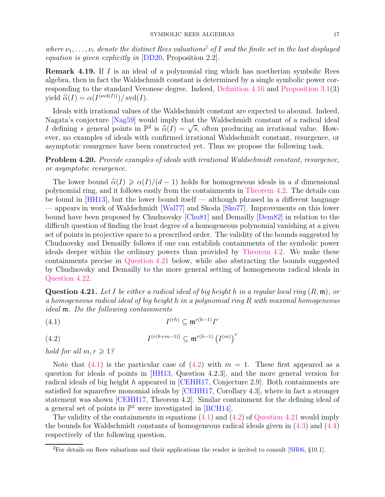where  $\nu_1, \ldots, \nu_r$  denote the distinct Rees valuations<sup>[2](#page-16-0)</sup> of I and the finite set in the last displayed equation is given explicitly in [\[DD20,](#page-19-19) Proposition 2.2].

Remark 4.19. If I is an ideal of a polynomial ring which has noetherian symbolic Rees algebra, then in fact the Waldschmidt constant is determined by a single symbolic power corresponding to the standard Veronese degree. Indeed, [Definition 4.16](#page-15-0) and [Proposition 3.1\(](#page-5-1)3) yield  $\widehat{\alpha}(I) = \alpha(I^{(\text{svd}(I))})/\text{svd}(I).$ 

Ideals with irrational values of the Waldschmidt constant are expected to abound. Indeed, Nagata's conjecture [\[Nag59\]](#page-21-4) would imply that the Waldschmidt constant of a radical ideal I defining s general points in  $\mathbb{P}^2$  is  $\widehat{\alpha}(I) = \sqrt{s}$ , often producing an irrational value. However, no examples of ideals with confirmed irrational Waldschmidt constant, resurgence, or asymptotic resurgence have been constructed yet. Thus we propose the following task.

Problem 4.20. Provide examples of ideals with irrational Waldschmidt constant, resurgence, or asymptotic resurgence.

The lower bound  $\hat{\alpha}(I) \geq \alpha(I)/(d-1)$  holds for homogeneous ideals in a d dimensional polynomial ring, and it follows easily from the containments in [Theorem 4.2.](#page-10-1) The details can be found in [\[HH13\]](#page-20-10), but the lower bound itself — although phrased in a different language — appears in work of Waldschmidt [\[Wal77\]](#page-22-24) and Skoda [\[Sko77\]](#page-22-25). Improvements on this lower bound have been proposed by Chudnovsky [\[Chu81\]](#page-18-14) and Demailly [\[Dem82\]](#page-19-21) in relation to the difficult question of finding the least degree of a homogeneous polynomial vanishing at a given set of points in projective space to a prescribed order. The validity of the bounds suggested by Chudnovsky and Demailly follows if one can establish containments of the symbolic power ideals deeper within the ordinary powers than provided by [Theorem 4.2.](#page-10-1) We make these containments precise in [Question 4.21](#page-16-1) below, while also abstracting the bounds suggested by Chudnovsky and Demailly to the more general setting of homogeneous radical ideals in [Question 4.22.](#page-16-2)

<span id="page-16-1"></span>**Question 4.21.** Let I be either a radical ideal of big height h in a regular local ring  $(R, \mathfrak{m})$ , or a homogeneous radical ideal of big height h in a polynomial ring R with maximal homogeneous ideal m. Do the following containments

<span id="page-16-3"></span>
$$
(4.1) \tI(rh) \subseteq \mathfrak{m}^{r(h-1)}Ir
$$

<span id="page-16-4"></span>
$$
(4.2) \tI(r(h+m-1)) \subseteq \mathfrak{m}^{r(h-1)} (I(m))r
$$

hold for all  $m, r \geq 1$ ?

Note that  $(4.1)$  is the particular case of  $(4.2)$  with  $m = 1$ . These first appeared as a question for ideals of points in [\[HH13,](#page-20-10) Question 4.2.3], and the more general version for radical ideals of big height h appeared in [\[CEHH17,](#page-18-15) Conjecture 2.9]. Both containments are satisfied for squarefree monomial ideals by [\[CEHH17,](#page-18-15) Corollary 4.3], where in fact a stronger statement was shown [\[CEHH17,](#page-18-15) Theorem 4.2]. Similar containment for the defining ideal of a general set of points in  $\mathbb{P}^2$  were investigated in [\[BCH14\]](#page-18-16).

The validity of the containments in equations [\(4.1\)](#page-16-3) and [\(4.2\)](#page-16-4) of [Question 4.21](#page-16-1) would imply the bounds for Waldschmidt constants of homogeneous radical ideals given in [\(4.3\)](#page-17-0) and [\(4.4\)](#page-17-1) respectively of the following question.

<span id="page-16-2"></span><span id="page-16-0"></span><sup>2</sup>For details on Rees valuations and their applications the reader is invited to consult [\[SH06,](#page-22-15) §10.1].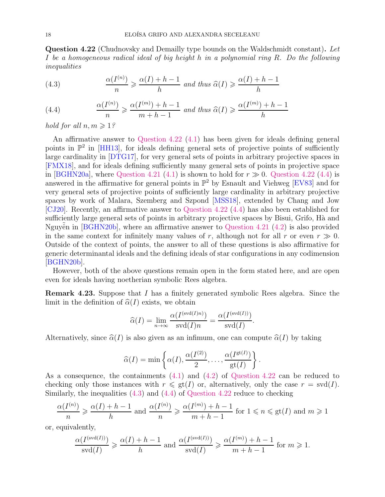Question 4.22 (Chudnovsky and Demailly type bounds on the Waldschmidt constant). Let I be a homogeneous radical ideal of big height h in a polynomial ring R. Do the following inequalities

<span id="page-17-0"></span>(4.3) 
$$
\frac{\alpha(I^{(n)})}{n} \geqslant \frac{\alpha(I) + h - 1}{h} \text{ and thus } \widehat{\alpha}(I) \geqslant \frac{\alpha(I) + h - 1}{h}
$$

<span id="page-17-1"></span>(4.4) 
$$
\frac{\alpha(I^{(n)})}{n} \geq \frac{\alpha(I^{(m)}) + h - 1}{m + h - 1} \text{ and thus } \widehat{\alpha}(I) \geq \frac{\alpha(I^{(m)}) + h - 1}{h}
$$

hold for all  $n, m \geqslant 1$ ?

An affirmative answer to [Question 4.22](#page-16-2) [\(4.1\)](#page-16-3) has been given for ideals defining general points in  $\mathbb{P}^2$  in [\[HH13\]](#page-20-10), for ideals defining general sets of projective points of sufficiently large cardinality in [\[DTG17\]](#page-19-22), for very general sets of points in arbitrary projective spaces in [\[FMX18\]](#page-19-23), and for ideals defining sufficiently many general sets of points in projective space in [\[BGHN20a\]](#page-18-13), where [Question 4.21](#page-16-1) [\(4.1\)](#page-16-3) is shown to hold for  $r \gg 0$ . [Question 4.22](#page-16-2) [\(4.4\)](#page-17-1) is answered in the affirmative for general points in  $\mathbb{P}^2$  by Esnault and Viehweg [\[EV83\]](#page-19-24) and for very general sets of projective points of sufficiently large cardinality in arbitrary projective spaces by work of Malara, Szemberg and Szpond [\[MSS18\]](#page-21-22), extended by Chang and Jow [\[CJ20\]](#page-18-17). Recently, an affirmative answer to [Question 4.22](#page-16-2) [\(4.4\)](#page-17-1) has also been established for sufficiently large general sets of points in arbitrary projective spaces by Bisui, Grifo, Hà and Nguyên in  $[B\text{GHN20b}]$ , where an affirmative answer to [Question 4.21](#page-16-1) [\(4.2\)](#page-16-4) is also provided in the same context for infinitely many values of r, although not for all r or even  $r \gg 0$ . Outside of the context of points, the answer to all of these questions is also affirmative for generic determinantal ideals and the defining ideals of star configurations in any codimension [\[BGHN20b\]](#page-18-18).

However, both of the above questions remain open in the form stated here, and are open even for ideals having noetherian symbolic Rees algebra.

Remark 4.23. Suppose that I has a finitely generated symbolic Rees algebra. Since the limit in the definition of  $\hat{\alpha}(I)$  exists, we obtain

$$
\widehat{\alpha}(I) = \lim_{n \to \infty} \frac{\alpha(I^{(\text{svd}(I)n)})}{\text{svd}(I)n} = \frac{\alpha(I^{(\text{svd}(I))})}{\text{svd}(I)}.
$$

Alternatively, since  $\hat{\alpha}(I)$  is also given as an infimum, one can compute  $\hat{\alpha}(I)$  by taking

$$
\widehat{\alpha}(I) = \min\left\{\alpha(I), \frac{\alpha(I^{(2)})}{2}, \dots, \frac{\alpha(I^{\text{gt}(I)})}{\text{gt}(I)}\right\}
$$

.

As a consequence, the containments [\(4.1\)](#page-16-3) and [\(4.2\)](#page-16-4) of [Question 4.22](#page-16-2) can be reduced to checking only those instances with  $r \leqslant \text{gt}(I)$  or, alternatively, only the case  $r = \text{svd}(I)$ . Similarly, the inequalities [\(4.3\)](#page-17-0) and [\(4.4\)](#page-17-1) of [Question 4.22](#page-16-2) reduce to checking

$$
\frac{\alpha(I^{(n)})}{n} \ge \frac{\alpha(I) + h - 1}{h}
$$
 and 
$$
\frac{\alpha(I^{(n)})}{n} \ge \frac{\alpha(I^{(m)}) + h - 1}{m + h - 1}
$$
 for  $1 \le n \le \text{gt}(I)$  and  $m \ge 1$ 

or, equivalently,

$$
\frac{\alpha(I^{(\text{svd}(I))})}{\text{svd}(I)} \geqslant \frac{\alpha(I) + h - 1}{h} \text{ and } \frac{\alpha(I^{(\text{svd}(I))})}{\text{svd}(I)} \geqslant \frac{\alpha(I^{(m)}) + h - 1}{m + h - 1} \text{ for } m \geqslant 1.
$$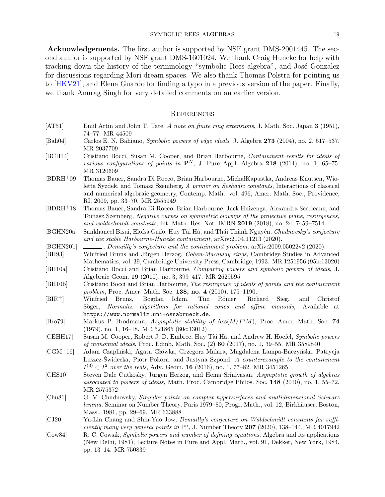Acknowledgements. The first author is supported by NSF grant DMS-2001445. The second author is supported by NSF grant DMS-1601024. We thank Craig Huneke for help with tracking down the history of the terminology "symbolic Rees algebra", and José Gonzalez for discussions regarding Mori dream spaces. We also thank Thomas Polstra for pointing us to [\[HKV21\]](#page-20-14), and Elena Guardo for finding a typo in a previous version of the paper. Finally, we thank Anurag Singh for very detailed comments on an earlier version.

#### <span id="page-18-0"></span>**REFERENCES**

- <span id="page-18-3"></span>[AT51] Emil Artin and John T. Tate, A note on finite ring extensions, J. Math. Soc. Japan 3 (1951), 74–77. MR 44509
- <span id="page-18-6"></span>[Bah04] Carlos E. N. Bahiano, Symbolic powers of edge ideals, J. Algebra 273 (2004), no. 2, 517–537. MR 2037709
- <span id="page-18-16"></span>[BCH14] Cristiano Bocci, Susan M. Cooper, and Brian Harbourne, Containment results for ideals of various configurations of points in  $\mathbf{P}^{N}$ , J. Pure Appl. Algebra 218 (2014), no. 1, 65–75. MR 3120609
- <span id="page-18-8"></span>[BDRH<sup>+</sup>09] Thomas Bauer, Sandra Di Rocco, Brian Harbourne, MichałKapustka, Andreas Knutsen, Wioletta Syzdek, and Tomasz Szemberg, A primer on Seshadri constants, Interactions of classical and numerical algebraic geometry, Contemp. Math., vol. 496, Amer. Math. Soc., Providence, RI, 2009, pp. 33–70. MR 2555949
- <span id="page-18-11"></span>[BDRH<sup>+</sup>18] Thomas Bauer, Sandra Di Rocco, Brian Harbourne, Jack Huizenga, Alexandra Seceleanu, and Tomasz Szemberg, Negative curves on symmetric blowups of the projective plane, resurgences, and waldschmidt constants, Int. Math. Res. Not. IMRN 2019 (2018), no. 24, 7459–7514.
- <span id="page-18-13"></span>[BGHN20a] Sankhaneel Bisui, Eloísa Grifo, Huy Tài Hà, and Thái Thành Nguyên, Chudnovsky's conjecture and the stable Harbourne-Huneke containment, arXiv:2004.11213 (2020).
- <span id="page-18-18"></span> $[{\rm BGHN20b}] \quad \underline{\hspace{2cm}}$ , Demailly's conjecture and the containment problem,  $\text{arXiv:}2009.05022\text{v2}$  (2020).
- <span id="page-18-2"></span>[BH93] Winfried Bruns and Jürgen Herzog, Cohen-Macaulay rings, Cambridge Studies in Advanced Mathematics, vol. 39, Cambridge University Press, Cambridge, 1993. MR 1251956 (95h:13020) [BH10a] Cristiano Bocci and Brian Harbourne, Comparing powers and symbolic powers of ideals, J.
- <span id="page-18-9"></span>Algebraic Geom. 19 (2010), no. 3, 399–417. MR 2629595
- <span id="page-18-12"></span>[BH10b] Cristiano Bocci and Brian Harbourne, The resurgence of ideals of points and the containment problem, Proc. Amer. Math. Soc. 138, no. 4 (2010), 175–1190.
- <span id="page-18-7"></span>[BIR<sup>+</sup>] Winfried Bruns, Bogdan Ichim, Tim Römer, Richard Sieg, and Christof Söger, Normaliz. algorithms for rational cones and affine monoids, Available at https://www.normaliz.uni-osnabrueck.de.
- <span id="page-18-4"></span>[Bro79] Markus P. Brodmann, Asymptotic stability of  $\text{Ass}(M/I^nM)$ , Proc. Amer. Math. Soc. 74 (1979), no. 1, 16–18. MR 521865 (80c:13012)
- <span id="page-18-15"></span>[CEHH17] Susan M. Cooper, Robert J. D. Embree, Huy Tài Hà, and Andrew H. Hoefel, Symbolic powers of monomial ideals, Proc. Edinb. Math. Soc. (2) 60 (2017), no. 1, 39–55. MR 3589840
- <span id="page-18-10"></span>[CGM<sup>+</sup>16] Adam Czapliński, Agata Główka, Grzegorz Malara, Magdalena Lampa-Baczyńska, Patrycja Luszcz-Świdecka, Piotr Pokora, and Justyna Szpond, A counterexample to the containment  $I^{(3)} \subset I^2$  over the reals, Adv. Geom. 16 (2016), no. 1, 77–82. MR 3451265
- <span id="page-18-5"></span>[CHS10] Steven Dale Cutkosky, Jürgen Herzog, and Hema Srinivasan, Asymptotic growth of algebras associated to powers of ideals, Math. Proc. Cambridge Philos. Soc. 148 (2010), no. 1, 55–72. MR 2575372
- <span id="page-18-14"></span>[Chu81] G. V. Chudnovsky, Singular points on complex hypersurfaces and multidimensional Schwarz lemma, Seminar on Number Theory, Paris 1979–80, Progr. Math., vol. 12, Birkhäuser, Boston, Mass., 1981, pp. 29–69. MR 633888
- <span id="page-18-17"></span>[CJ20] Yu-Lin Chang and Shin-Yao Jow, Demailly's conjecture on Waldschmidt constants for sufficiently many very general points in  $\mathbb{P}^n$ , J. Number Theory 207 (2020), 138-144. MR 4017942
- <span id="page-18-1"></span>[Cow84] R. C. Cowsik, Symbolic powers and number of defining equations, Algebra and its applications (New Delhi, 1981), Lecture Notes in Pure and Appl. Math., vol. 91, Dekker, New York, 1984, pp. 13–14. MR 750839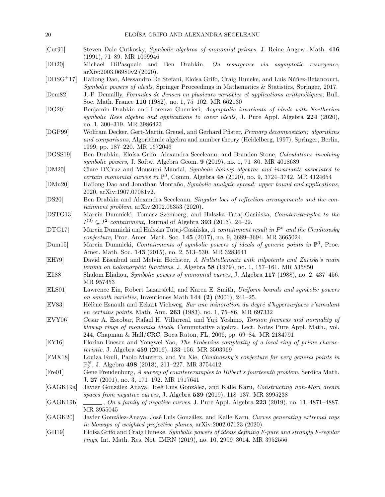- <span id="page-19-7"></span>[Cut91] Steven Dale Cutkosky, Symbolic algebras of monomial primes, J. Reine Angew. Math. 416 (1991), 71–89. MR 1099946
- <span id="page-19-19"></span>[DD20] Michael DiPasquale and Ben Drabkin, On resurgence via asymptotic resurgence, arXiv:2003.06980v2 (2020).
- <span id="page-19-3"></span>[DDSG<sup>+</sup>17] Hailong Dao, Alessandro De Stefani, Eloísa Grifo, Craig Huneke, and Luis Núñez-Betancourt, Symbolic powers of ideals, Springer Proceedings in Mathematics & Statistics, Springer, 2017.
- <span id="page-19-21"></span>[Dem82] J.-P. Demailly, Formules de Jensen en plusieurs variables et applications arithm´etiques, Bull. Soc. Math. France 110 (1982), no. 1, 75–102. MR 662130
- <span id="page-19-20"></span>[DG20] Benjamin Drabkin and Lorenzo Guerrieri, Asymptotic invariants of ideals with Noetherian symbolic Rees algebra and applications to cover ideals, J. Pure Appl. Algebra 224 (2020), no. 1, 300–319. MR 3986423
- <span id="page-19-1"></span>[DGP99] Wolfram Decker, Gert-Martin Greuel, and Gerhard Pfister, Primary decomposition: algorithms and comparisons, Algorithmic algebra and number theory (Heidelberg, 1997), Springer, Berlin, 1999, pp. 187–220. MR 1672046
- <span id="page-19-2"></span>[DGSS19] Ben Drabkin, Eloísa Grifo, Alexandra Seceleanu, and Branden Stone, Calculations involving symbolic powers, J. Softw. Algebra Geom. 9 (2019), no. 1, 71–80. MR 4018689
- <span id="page-19-12"></span>[DM20] Clare D'Cruz and Mousumi Mandal, Symbolic blowup algebras and invariants associated to certain monomial curves in  $\mathbb{P}^3$ , Comm. Algebra 48 (2020), no. 9, 3724-3742. MR 4124654
- <span id="page-19-6"></span>[DMn20] Hailong Dao and Jonathan Montaño, Symbolic analytic spread: upper bound and applications, 2020, arXiv:1907.07081v2.
- <span id="page-19-18"></span>[DS20] Ben Drabkin and Alexandra Seceleanu, Singular loci of reflection arrangements and the containment problem, arXiv:2002.05353 (2020).
- <span id="page-19-17"></span>[DSTG13] Marcin Dumnicki, Tomasz Szemberg, and Halszka Tutaj-Gasińska, Counterexamples to the  $I^{(3)} \subseteq I^2$  containment, Journal of Algebra **393** (2013), 24–29.
- <span id="page-19-22"></span>[DTG17] Marcin Dumnicki and Halszka Tutaj-Gasińska, A containment result in  $P^n$  and the Chudnovsky conjecture, Proc. Amer. Math. Soc. 145 (2017), no. 9, 3689–3694. MR 3665024
- <span id="page-19-16"></span>[Dum15] Marcin Dumnicki, Containments of symbolic powers of ideals of generic points in  $\mathbb{P}^3$ , Proc. Amer. Math. Soc. 143 (2015), no. 2, 513–530. MR 3283641
- <span id="page-19-0"></span>[EH79] David Eisenbud and Melvin Hochster, A Nullstellensatz with nilpotents and Zariski's main lemma on holomorphic functions, J. Algebra 58 (1979), no. 1, 157–161. MR 535850
- <span id="page-19-5"></span>[Eli88] Shalom Eliahou, Symbolic powers of monomial curves, J. Algebra 117 (1988), no. 2, 437–456. MR 957453
- <span id="page-19-14"></span>[ELS01] Lawrence Ein, Robert Lazarsfeld, and Karen E. Smith, Uniform bounds and symbolic powers on smooth varieties, Inventiones Math  $144$   $(2)$   $(2001)$ ,  $241-25$ .
- <span id="page-19-24"></span>[EV83] Hélène Esnault and Eckart Viehweg, Sur une minoration du degré d'hypersurfaces s'annulant en certains points, Math. Ann. 263 (1983), no. 1, 75–86. MR 697332
- <span id="page-19-13"></span>[EVY06] Cesar A. Escobar, Rafael H. Villarreal, and Yuji Yoshino, Torsion freeness and normality of blowup rings of monomial ideals, Commutative algebra, Lect. Notes Pure Appl. Math., vol. 244, Chapman & Hall/CRC, Boca Raton, FL, 2006, pp. 69–84. MR 2184791
- <span id="page-19-11"></span>[EY16] Florian Enescu and Yongwei Yao, The Frobenius complexity of a local ring of prime characteristic, J. Algebra 459 (2016), 133–156. MR 3503969
- <span id="page-19-23"></span>[FMX18] Louiza Fouli, Paolo Mantero, and Yu Xie, Chudnovsky's conjecture for very general points in  $\mathbb{P}_k^N$ , J. Algebra 498 (2018), 211–227. MR 3754412
- <span id="page-19-4"></span>[Fre01] Gene Freudenburg, A survey of counterexamples to Hilbert's fourteenth problem, Serdica Math. J. 27 (2001), no. 3, 171–192. MR 1917641
- <span id="page-19-8"></span>[GAGK19a] Javier González Anaya, José Luis González, and Kalle Karu, Constructing non-Mori dream spaces from negative curves, J. Algebra 539 (2019), 118–137. MR 3995238
- <span id="page-19-9"></span> $[GAGK19b] \longrightarrow$ , On a family of negative curves, J. Pure Appl. Algebra 223 (2019), no. 11, 4871–4887. MR 3955045
- <span id="page-19-10"></span>[GAGK20] Javier González-Anaya, José Luis González, and Kalle Karu, Curves generating extremal rays in blowups of weighted projective planes, arXiv:2002.07123 (2020).
- <span id="page-19-15"></span>[GH19] Eloísa Grifo and Craig Huneke, *Symbolic powers of ideals defining F-pure and strongly F-regular* rings, Int. Math. Res. Not. IMRN (2019), no. 10, 2999–3014. MR 3952556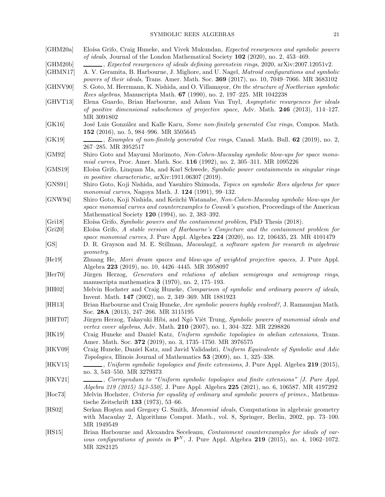# SYMBOLIC REES ALGEBRAS 21

<span id="page-20-25"></span><span id="page-20-24"></span><span id="page-20-23"></span><span id="page-20-22"></span><span id="page-20-21"></span><span id="page-20-20"></span><span id="page-20-19"></span><span id="page-20-18"></span><span id="page-20-17"></span><span id="page-20-16"></span><span id="page-20-15"></span><span id="page-20-14"></span><span id="page-20-13"></span><span id="page-20-12"></span><span id="page-20-11"></span><span id="page-20-10"></span><span id="page-20-9"></span><span id="page-20-8"></span><span id="page-20-7"></span><span id="page-20-6"></span><span id="page-20-5"></span><span id="page-20-4"></span><span id="page-20-3"></span><span id="page-20-2"></span><span id="page-20-1"></span><span id="page-20-0"></span>

| [GHM20a]           | Eloísa Grifo, Craig Huneke, and Vivek Mukundan, Expected resurgences and symbolic powers<br>of ideals, Journal of the London Mathematical Society $102$ (2020), no. 2, 453-469.                                                             |
|--------------------|---------------------------------------------------------------------------------------------------------------------------------------------------------------------------------------------------------------------------------------------|
| [GHM20b]           |                                                                                                                                                                                                                                             |
| [GHMN17]           | $\_\_\_\_\$ , Expected resurgences of ideals defining govenstein rings, 2020, arXiv:2007.12051v2.                                                                                                                                           |
|                    | A. V. Geramita, B. Harbourne, J. Migliore, and U. Nagel, <i>Matroid configurations and symbolic</i><br>powers of their ideals, Trans. Amer. Math. Soc. 369 (2017), no. 10, 7049-7066. MR 3683102                                            |
| [GHNV90]           | S. Goto, M. Herrmann, K. Nishida, and O. Villamayor, On the structure of Noetherian symbolic<br>Rees algebras, Manuscripta Math. 67 (1990), no. 2, 197-225. MR 1042238                                                                      |
| [GHVT13]           | Elena Guardo, Brian Harbourne, and Adam Van Tuyl, Asymptotic resurgences for ideals<br>of positive dimensional subschemes of projective space, Adv. Math. $246$ (2013), 114-127.<br>MR 3091802                                              |
| [GK16]             | José Luis González and Kalle Karu, Some non-finitely generated Cox rings, Compos. Math.<br>152 (2016), no. 5, 984-996. MR 3505645                                                                                                           |
| [GK19]             | Examples of non-finitely generated Cox rings, Canad. Math. Bull. 62 (2019), no. 2,<br>267-285. MR 3952517                                                                                                                                   |
| [GM92]             | Shiro Goto and Mayumi Morimoto, Non-Cohen-Macaulay symbolic blow-ups for space mono-<br>mial curves, Proc. Amer. Math. Soc. 116 (1992), no. 2, 305-311. MR 1095226                                                                          |
| [GMS19]            | Eloísa Grifo, Linquan Ma, and Karl Schwede, Symbolic power containments in singular rings<br>in positive characteristic, arXiv:1911.06307 (2019).                                                                                           |
| [GNS91]            | Shiro Goto, Koji Nishida, and Yasuhiro Shimoda, Topics on symbolic Rees algebras for space<br>monomial curves, Nagoya Math. J. 124 (1991), 99-132.                                                                                          |
| [GNW94]            | Shiro Goto, Koji Nishida, and Keiichi Watanabe, Non-Cohen-Macaulay symbolic blow-ups for<br>space monomial curves and counterexamples to Cowsik's question, Proceedings of the American<br>Mathematical Society 120 (1994), no. 2, 383-392. |
| [Gri18]            | Eloísa Grifo, Symbolic powers and the containment problem, PhD Thesis (2018).                                                                                                                                                               |
| [Gri20]            | Eloísa Grifo, A stable version of Harbourne's Conjecture and the containment problem for<br>space monomial curves, J. Pure Appl. Algebra 224 (2020), no. 12, 106435, 23. MR 4101479                                                         |
| [GS]               | D. R. Grayson and M. E. Stillman, Macaulay2, a software system for research in algebraic<br>geometry.                                                                                                                                       |
| [He19]             | Zhuang He, Mori dream spaces and blow-ups of weighted projective spaces, J. Pure Appl.<br>Algebra 223 (2019), no. 10, 4426-4445. MR 3958097                                                                                                 |
| [Her70]            | Jürgen Herzog, Generators and relations of abelian semigroups and semigroup rings,<br>manuscripta mathematica $3(1970)$ , no. 2, 175-193.                                                                                                   |
| [HH02]             | Melvin Hochster and Craig Huneke, Comparison of symbolic and ordinary powers of ideals,<br>Invent. Math. 147 (2002), no. 2, 349-369. MR 1881923                                                                                             |
| [HH13]             | Brian Harbourne and Craig Huneke, Are symbolic powers highly evolved?, J. Ramanujan Math.<br>Soc. 28A (2013), 247-266. MR 3115195                                                                                                           |
| [HHT07]            | Jürgen Herzog, Takayuki Hibi, and Ngô Viêt Trung, Symbolic powers of monomial ideals and<br>vertex cover algebras, Adv. Math. 210 (2007), no. 1, 304-322. MR 2298826                                                                        |
| [HK19]             | Craig Huneke and Daniel Katz, Uniform symbolic topologies in abelian extensions, Trans.<br>Amer. Math. Soc. 372 (2019), no. 3, 1735–1750. MR 3976575                                                                                        |
| [HKV09]            | Craig Huneke, Daniel Katz, and Javid Validashti, Uniform Equivalente of Symbolic and Adic<br><i>Topologies</i> , Illinois Journal of Mathematics 53 (2009), no. 1, 325–338.                                                                 |
| [HKV15]            | no. 3, 543–550. MR 3279373                                                                                                                                                                                                                  |
| [HKV21]            | Algebra 219 (2015) 543-550, J. Pure Appl. Algebra 225 (2021), no. 6, 106587. MR 4197292                                                                                                                                                     |
| $[\mathrm{Hoc73}]$ | Melvin Hochster, Criteria for equality of ordinary and symbolic powers of primes., Mathema-<br>tische Zeitschrift 133 $(1973)$ , 53-66.                                                                                                     |
| [ $HSO2$ ]         | Serkan Hosten and Gregory G. Smith, <i>Monomial ideals</i> , Computations in algebraic geometry<br>with Macaulay 2, Algorithms Comput. Math., vol. 8, Springer, Berlin, 2002, pp. 73–100.<br>MR 1949549                                     |
| [HS15]             | Brian Harbourne and Alexandra Seceleanu, Containment counterexamples for ideals of var-<br>ious configurations of points in $\mathbf{P}^N$ , J. Pure Appl. Algebra 219 (2015), no. 4, 1062-1072.<br>MR 3282125                              |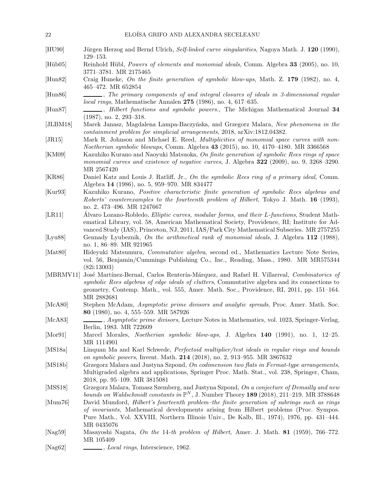<span id="page-21-22"></span><span id="page-21-21"></span><span id="page-21-20"></span><span id="page-21-19"></span><span id="page-21-18"></span><span id="page-21-17"></span><span id="page-21-16"></span><span id="page-21-15"></span><span id="page-21-14"></span><span id="page-21-13"></span><span id="page-21-12"></span><span id="page-21-11"></span><span id="page-21-10"></span><span id="page-21-9"></span><span id="page-21-8"></span><span id="page-21-7"></span><span id="page-21-6"></span><span id="page-21-5"></span><span id="page-21-4"></span><span id="page-21-3"></span><span id="page-21-2"></span><span id="page-21-1"></span><span id="page-21-0"></span>

| 22                 | ELOÍSA GRIFO AND ALEXANDRA SECELEANU                                                                                                                                                                                                                                                                 |
|--------------------|------------------------------------------------------------------------------------------------------------------------------------------------------------------------------------------------------------------------------------------------------------------------------------------------------|
| [HU90]             | Jürgen Herzog and Bernd Ulrich, Self-linked curve singularities, Nagoya Math. J. 120 (1990),<br>$129 - 153.$                                                                                                                                                                                         |
| [Hiib05]           | Reinhold Hübl, <i>Powers of elements and monomial ideals</i> , Comm. Algebra 33 (2005), no. 10,<br>3771-3781. MR 2175465                                                                                                                                                                             |
| $[$ Hun $82]$      | Craig Huneke, On the finite generation of symbolic blow-ups, Math. Z. $179$ (1982), no. 4,<br>465-472. MR 652854                                                                                                                                                                                     |
| [Hun86]            | The primary components of and integral closures of ideals in 3-dimensional regular<br><i>local rings</i> , Mathematische Annalen $275$ (1986), no. 4, 617–635.                                                                                                                                       |
| $[{\text{Hun87}}]$ | -, <i>Hilbert functions and symbolic powers.</i> , The Michigan Mathematical Journal 34<br>$(1987)$ , no. 2, 293-318.                                                                                                                                                                                |
| [JLBM18]           | Marek Janasz, Magdalena Lampa-Baczyńska, and Grzegorz Malara, New phenomena in the<br>containment problem for simplicial arrangements, 2018, arXiv:1812.04382.                                                                                                                                       |
| [JR15]             | Mark R. Johnson and Michael E. Reed, <i>Multiplicities of monomial space curves with non-</i><br>Noetherian symbolic blowups, Comm. Algebra 43 (2015), no. 10, 4170–4180. MR 3366568                                                                                                                 |
| [KM09]             | Kazuhiko Kurano and Naoyuki Matsuoka, On finite generation of symbolic Rees rings of space<br>monomial curves and existence of negative curves, J. Algebra 322 (2009), no. 9, 3268-3290.<br>MR 2567420                                                                                               |
| [KR86]             | Daniel Katz and Louis J. Ratliff, Jr., On the symbolic Rees ring of a primary ideal, Comm.<br>Algebra 14 (1986), no. 5, 959-970. MR 834477                                                                                                                                                           |
| [Kur93]            | Kazuhiko Kurano, Positive characteristic finite generation of symbolic Rees algebras and<br>Roberts' counterexamples to the fourteenth problem of Hilbert, Tokyo J. Math. 16 (1993),<br>no. 2, 473-496. MR 1247667                                                                                   |
| [LR11]             | Álvaro Lozano-Robledo, Elliptic curves, modular forms, and their L-functions, Student Math-<br>ematical Library, vol. 58, American Mathematical Society, Providence, RI; Institute for Ad-<br>vanced Study (IAS), Princeton, NJ, 2011, IAS/Park City Mathematical Subseries. MR 2757255              |
| [Lyu88]            | Gennady Lyubeznik, On the arithmetical rank of monomial ideals, J. Algebra 112 (1988),<br>no. 1, 86-89. MR 921965                                                                                                                                                                                    |
| [Mat80]            | Hideyuki Matsumura, <i>Commutative algebra</i> , second ed., Mathematics Lecture Note Series,<br>vol. 56, Benjamin/Cummings Publishing Co., Inc., Reading, Mass., 1980. MR MR575344<br>(82i:13003)                                                                                                   |
| [MBRMV11]          | José Martínez-Bernal, Carlos Rentería-Márquez, and Rafael H. Villarreal, Combinatorics of<br>symbolic Rees algebras of edge ideals of clutters, Commutative algebra and its connections to<br>geometry, Contemp. Math., vol. 555, Amer. Math. Soc., Providence, RI, 2011, pp. 151–164.<br>MR 2882681 |
| [McA80]            | Stephen McAdam, Asymptotic prime divisors and analytic spreads, Proc. Amer. Math. Soc.<br>80 (1980), no. 4, 555-559. MR 587926                                                                                                                                                                       |
| [McA83]            | <i>Asymptotic prime divisors</i> , Lecture Notes in Mathematics, vol. 1023, Springer-Verlag,<br>Berlin, 1983. MR 722609                                                                                                                                                                              |
| [Mor91]            | Marcel Morales, <i>Noetherian symbolic blow-ups</i> , J. Algebra 140 (1991), no. 1, 12-25.<br>MR 1114901                                                                                                                                                                                             |
| [MS18a]            | Linquan Ma and Karl Schwede, Perfectoid multiplier/test ideals in regular rings and bounds<br>on symbolic powers, Invent. Math. 214 (2018), no. 2, 913-955. MR 3867632                                                                                                                               |
| [MS18b]            | Grzegorz Malara and Justyna Szpond, On codimension two flats in Fermat-type arrangements,<br>Multigraded algebra and applications, Springer Proc. Math. Stat., vol. 238, Springer, Cham,<br>2018, pp. 95-109. MR 3815081                                                                             |
| [MSS18]            | Grzegorz Malara, Tomasz Szemberg, and Justyna Szpond, On a conjecture of Demailly and new<br>bounds on Waldschmidt constants in $\mathbb{P}^N$ , J. Number Theory 189 (2018), 211-219. MR 3788648                                                                                                    |
| [Mum76]            | David Mumford, Hilbert's fourteenth problem-the finite generation of subrings such as rings<br>of invariants, Mathematical developments arising from Hilbert problems (Proc. Sympos.<br>Pure Math., Vol. XXVIII, Northern Illinois Univ., De Kalb, Ill., 1974), 1976, pp. 431–444.<br>MR 0435076     |
| [Nag59]            | Masayoshi Nagata, On the 14-th problem of Hilbert, Amer. J. Math. 81 (1959), 766–772.<br>MR 105409                                                                                                                                                                                                   |
| [ $Nag62$ ]        | <i>Local rings</i> , Interscience, 1962.                                                                                                                                                                                                                                                             |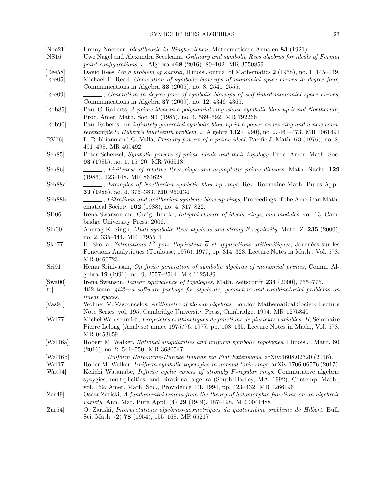# SYMBOLIC REES ALGEBRAS 23

<span id="page-22-25"></span><span id="page-22-24"></span><span id="page-22-23"></span><span id="page-22-22"></span><span id="page-22-21"></span><span id="page-22-20"></span><span id="page-22-19"></span><span id="page-22-18"></span><span id="page-22-17"></span><span id="page-22-16"></span><span id="page-22-15"></span><span id="page-22-14"></span><span id="page-22-13"></span><span id="page-22-12"></span><span id="page-22-11"></span><span id="page-22-10"></span><span id="page-22-9"></span><span id="page-22-8"></span><span id="page-22-7"></span><span id="page-22-6"></span><span id="page-22-5"></span><span id="page-22-4"></span><span id="page-22-3"></span><span id="page-22-2"></span><span id="page-22-1"></span><span id="page-22-0"></span>

| [Noe21]                       | Emmy Noether, <i>Idealtheorie in Ringbereichen</i> , Mathematische Annalen 83 (1921).                                                                                                                                                                  |
|-------------------------------|--------------------------------------------------------------------------------------------------------------------------------------------------------------------------------------------------------------------------------------------------------|
| [NS16]                        | Uwe Nagel and Alexandra Seceleanu, Ordinary and symbolic Rees algebras for ideals of Fermat                                                                                                                                                            |
|                               | point configurations, J. Algebra 468 (2016), 80-102. MR 3550859                                                                                                                                                                                        |
| [Ree58]                       | David Rees, On a problem of Zariski, Illinois Journal of Mathematics 2 (1958), no. 1, 145–149.                                                                                                                                                         |
| [Ree05]                       | Michael E. Reed, Generation of symbolic blow-ups of monomial space curves in degree four,<br>Communications in Algebra 33 (2005), no. 8, 2541-2555.                                                                                                    |
| [Ree09]                       | Communications in Algebra 37 (2009), no. 12, 4346-4365.                                                                                                                                                                                                |
| [Rob85]                       | Paul C. Roberts, A prime ideal in a polynomial ring whose symbolic blow-up is not Noetherian,<br>Proc. Amer. Math. Soc. 94 (1985), no. 4, 589-592. MR 792266                                                                                           |
| [Rob90]                       | Paul Roberts, An infinitely generated symbolic blow-up in a power series ring and a new coun-<br>terexample to Hilbert's fourteenth problem, J. Algebra 132 (1990), no. 2, 461-473. MR 1061491                                                         |
| [RV76]                        | L. Robbiano and G. Valla, <i>Primary powers of a prime ideal</i> , Pacific J. Math. 63 (1976), no. 2,<br>491-498. MR 409492                                                                                                                            |
| [Sch85]                       | Peter Schenzel, Symbolic powers of prime ideals and their topology, Proc. Amer. Math. Soc.<br>93 (1985), no. 1, 15-20. MR 766518                                                                                                                       |
| [Sch86]                       | Finiteness of relative Rees rings and asymptotic prime divisors, Math. Nachr. 129<br>$(1986), 123-148. \text{ MR } 864628$                                                                                                                             |
| [Sch88a]                      | Examples of Noetherian symbolic blow-up rings, Rev. Roumaine Math. Pures Appl.<br>33 (1988), no. 4, 375-383. MR 950134                                                                                                                                 |
| [Sch88b]                      | Filtrations and noetherian symbolic blow-up rings, Proceedings of the American Math-<br>ematical Society 102 (1988), no. 4, 817-822.                                                                                                                   |
| [SH06]                        | Irena Swanson and Craig Huneke, Integral closure of ideals, rings, and modules, vol. 13, Cam-<br>bridge University Press, 2006.                                                                                                                        |
| $[\text{Sin}00]$              | Anurag K. Singh, Multi-symbolic Rees algebras and strong F-regularity, Math. Z. 235 (2000),<br>no. 2, 335-344. MR 1795511                                                                                                                              |
| [Sko77]                       | H. Skoda, <i>Estimations</i> $L^2$ pour <i>l'opérateur</i> $\overline{\partial}$ <i>et applications arithmétiques</i> , Journées sur les<br>Fonctions Analytiques (Toulouse, 1976), 1977, pp. 314–323. Lecture Notes in Math., Vol. 578.<br>MR 0460723 |
| $\left[\mathrm{Sri91}\right]$ | Hema Srinivasan, On finite generation of symbolic algebras of monomial primes, Comm. Al-<br>gebra 19 (1991), no. 9, 2557-2564. MR 1125189                                                                                                              |
| [Swa00]<br>[tt]               | Irena Swanson, <i>Linear equivalence of topologies</i> , Math. Zeitschrift 234 (2000), 755–775.<br>4ti2 team, $4ti2 - a$ software package for algebraic, geometric and combinatorial problems on                                                       |
| [Vas94]                       | linear spaces.<br>Wolmer V. Vasconcelos, Arithmetic of blowup algebras, London Mathematical Society Lecture<br>Note Series, vol. 195, Cambridge University Press, Cambridge, 1994. MR 1275840                                                          |
| [Wal77]                       | Michel Waldschmidt, Propriétés arithmétiques de fonctions de plusieurs variables. II, Séminaire<br>Pierre Lelong (Analyse) année 1975/76, 1977, pp. 108–135. Lecture Notes in Math., Vol. 578.<br>MR 0453659                                           |
| [Wal16a]                      | Robert M. Walker, Rational singularities and uniform symbolic topologies, Illinois J. Math. 60<br>$(2016)$ , no. 2, 541-550. MR 3680547                                                                                                                |
| [Wal16b]                      |                                                                                                                                                                                                                                                        |
| [Wal17]                       | Rober M. Walker, Uniform symbolic topologies in normal toric rings, arXiv:1706.06576 (2017).                                                                                                                                                           |
| [Wat94]                       | Keiichi Watanabe, Infinite cyclic covers of strongly F-regular rings, Commutative algebra:<br>syzygies, multiplicities, and birational algebra (South Hadley, MA, 1992), Contemp. Math.,                                                               |
| [Zar49]                       | vol. 159, Amer. Math. Soc., Providence, RI, 1994, pp. 423–432. MR 1266196<br>Oscar Zariski, A fundamental lemma from the theory of holomorphic functions on an algebraic                                                                               |
| [Zar54]                       | <i>variety</i> , Ann. Mat. Pura Appl. (4) <b>29</b> (1949), 187–198. MR 0041488<br>O. Zariski, Interprétations algébrico-géométriques du quatorzième problème de Hilbert, Bull.<br>Sci. Math. $(2)$ 78 $(1954)$ , 155-168. MR 65217                    |